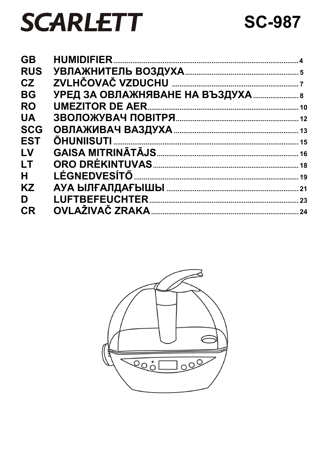# **SCARLETT**

## **SC-987**

| <b>GB</b>  | <b>HUMIDIFIER</b>      |  |
|------------|------------------------|--|
| <b>RUS</b> |                        |  |
| CZ         |                        |  |
| <b>BG</b>  |                        |  |
| <b>RO</b>  |                        |  |
| <b>UA</b>  |                        |  |
| <b>SCG</b> |                        |  |
| <b>EST</b> |                        |  |
| <b>LV</b>  |                        |  |
| LT.        |                        |  |
| H          |                        |  |
| <b>KZ</b>  |                        |  |
| D          | <b>LUFTBEFEUCHTER.</b> |  |
| <b>CR</b>  |                        |  |
|            |                        |  |

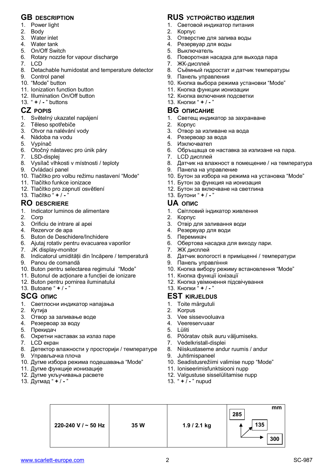- 1. Power light
- 2. Body
- 3. Water inlet
- 4. Water tank
- 5. On/Off Switch
- 6. Rotary nozzle for vapour discharge
- 7. LCD
- 8. Detachable humidostat and temperature detector
- 9. Control panel
- 10. "Mode" button
- 11. Ionization function button
- 12. Illumination On/Off button
- 13. ³ **+** / **-** ´ buttons

- 1. Světelný ukazatel napájení
- 2. Těleso spotřebiče
- 3. Otvor na nalévání vody
- 4. Nádoba na vodu
- 5. Vypínač
- 6. Otočný nástavec pro únik páry
- 7. LSD-displej
- 8. Vysílač vlhkosti v místnosti / teploty
- 9. Ovládací panel
- 10. Tlačítko pro volbu režimu nastavení "Mode"
- 11. Tlačítko funkce ionizace
- 12. Tlačítko pro zapnutí osvětlení
- 13. Tlačítko " **+** / -

#### **RO** DESCRIERE **UA** ONC

- 1. Indicator luminos de alimentare
- 2. Corp
- 3. Orificiu de intrare al apei
- 4. Rezervor de apa
- 5. Buton de Deschidere/Inchidere
- 6. Ajutaj rotativ pentru evacuarea vaporilor
- 7. JK display-monitor
- 8. Indicatorul umidității din încăpere / temperatură
- 9. Panou de comandă
- 10. Buton pentru selectarea regimului "Mode"
- 11. Butonul de actionare a functiei de ionizare
- 12. Buton pentru pornirea iluminatului

### 13. Butoane " $+$  / -

- 1. Светлосни индикатор напајања
- 2. Кутија
- 3. Отвор за заливање воде
- 4. Резервоар за воду
- 5. Прекидач
- 6. Окретни наставак за излаз паре
- 7. LCD екран
- 8. Детектор влажности у просторији / температуре
- 9. Управљачка плоча
- 10. Дугме избора режима подешавања "Mode"
- 11. Дугме функције ионизације
- 12. Дугме укључивања расвете
- 13. Дугмад " **+** / "

### **GB** DESCRIPTION **CB RUS** УСТРОЙСТВО ИЗДЕЛИЯ

- 1. Световой индикатор питания
- 2. Корпус<br>3. Отверс
- Отверстие для залива воды
- 4. Резервуар для воды
- 5. Выключатель
- 6. Поворотная насадка для выхода пара
- 7. ЖК-дисплей
- 8. Съёмный гидростат и датчик температуры
- 9. Панель управления
- 10. Кнопка выбора режима установки "Mode"
- 11. Кнопка функции ионизации
- 12. Кнопка включения подсветки
- 13. ΚΗΩΠΚΜ " **+** / -<sup>"</sup>

#### **CZ** РОРІЅ **BG** ОПИСАНИЕ

- 1. Светещ индикатор за захранване
- 2. Kopnyc
- 3. Отвор за изливане на вода
- 4. Резервоар за вода
- 5. Изключвател
- 6. Обръщаща се наставка за излизане на пара.<br>7. LCD дисплей
- LCD дисплей
- 8. Датчик на влажност в помещение / на температура
- 9. Панела на управление
- 10. Бутон за избора на режима на установка "Mode"
- 11. Бутон за функция на ионизация
- 12. Бутон за включване на светлина
- 13. Бутони " **+** / '

- 1. Світловий індикатор живлення
- 2. Kopnyc
- 3. Отвір для заливання води
- 4. Резервуар для води<br>5. Перемикач
- Перемикач
- 6. Обертова насадка для виходу пари.
- 7. ЖК дисплей
- 8. Датчик вологості в приміщенні / температури
- 9. Панель управління
- 10. Кнопка вибору режиму встановлення "Mode"
- 11. Кнопка функції іонізації

3. Vee sissevooluava 4. Veereservuaar

7. Vedelkristall-displei

9. Juhtimispaneel

13. ³ **+** / **-**´ nupud

12. Кнопка увімкнення підсвічування

6. Pööratav otsik auru väljumiseks.

11. Ioniseerimisfunktsiooni nupp 12. Valgustuse sisselülitamise nupp

8. Niiskustaseme andur ruumis / andur

10. Seadistusrežiimi valimise nupp "Mode"

**285**

**mm**

**300**

**135**

13. ΚΗΟΠΚΜ<sup>ά</sup> + / -<sup>3</sup>

#### **SCG** ONIC **EST** KIRJELDUS

1. Toite märgutuli 2. Korpus

5. Lüliti

www.scarlett-europe.com 2 2 SC-987

**220-240 V / ~ 50 Hz 35 W 1.9 / 2.1 kg**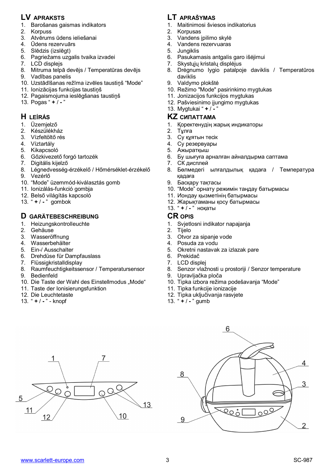- 1. Baroãanas gaismas indikators
- 2. Korpuss
- 3. Atvērums ūdens ieliešanai
- 4. Ūdens rezervuārs
- 5. Slēdzis (izslēgt)
- 6. Pagrieåams uzgalis tvaika izvadei
- 7. LCD displejs
- 8. Mitruma telpā devējs / Temperatūras devējs
- 9. Vadības panelis
- 10. Uzstādīšanas režīma izvēles taustiņš "Mode"
- 11. Ionizācijas funkcijas taustiņš
- 12. Pagaismojuma ieslēgšanas taustiņš
- 13. Pogas " $+$  / "

- 1. Üzemielző
- 2. Készülékház
- 3. Vízfeltöltő rés
- 4. Víztartály
- 5. Kikapcsoló
- 6. Gőzkivezető forgó tartozék
- 7. Digitális kijelző
- 8. Légnedvesség-érzékelő / Hőmérséklet-érzékelő
- 9. Vezérlő
- 10. "Mode" üzemmód-kiválasztás gomb
- 11. Ionizálás-funkció gombja
- 12. Belső világítás kapcsoló
- 13. ³ **+** / **-**´ gombok

## **D GARÄTEBESCHREIBUNG CR OPIS**

- 1. Heizungskontrolleuchte
- 2. Gehäuse
- 3. Wasseröffnung
- 4. Wasserbehälter
- 5. Ein-/ Ausschalter
- 6. Drehdüse für Dampfauslass
- 7. Flüssigkristalldisplay
- 8. Raumfeuchtigkeitssensor / Temperatursensor
- 9. Bedienfeld
- 10. Die Taste der Wahl des Einstellmodus "Mode"
- 11. Taste der Ionisierungsfunktion
- 12. Die Leuchtetaste
- 13. ³ **+** / **-**´ knopf

## **LV APRAKSTS LT APRAâYMAS**

- 1. Maitinimosi ãviesos indikatorius
- 2. Korpusas
- 3. Vandens ipilimo skylė
- 4. Vandens rezervuaras
- 5. Jungiklis
- 6. Pasukamasis antgalis garo išėjimui
- 7. Skystųjų kristalų displėjus
- 8. Drėgnumo lygio patalpoje daviklis / Temperatūros daviklis
- 9. Valdymo plokštė
- 10. Reåimo "Mode" pasirinkimo mygtukas
- 11. Jonizacijos funkcijos mygtukas
- 12. Pašviesinimo jiungimo mygtukas

## 13. Mygtukai " **+** / - "

- **H** LEÍRÁS **KZ** CUNTAMA
	- 1. Коректенудің жарық индикаторы
	- 2. Тулға
	- 3. Су құятын тесік
	- 4. Су резервуары
	- 5. Ажыраткыш
	- 6. Бу шығуға арналған айналдырма саптама
	- 7. СК дисплей
	- 8. Бөлмедегі ылғалдылық қадаға / Температура кадаға
	- 9. Баскару тактасы
	- 10. "Mode" орнату режимін таңдау батырмасы
	- 11. Иондау қызметінің батырмасы
	- 12. Жарыктаманы косу батырмасы
	- 13. " **+** / " ноқаты

- 1. Svjetlosni indikator napajanja
- 2. Tijelo
- 3. Otvor za sipanje vode
- 4. Posuda za vodu
- 5. Okretni nastavak za izlazak pare
- 6. Prekidač
- 7. LCD displej
- 8. Senzor vlažnosti u prostoriji / Senzor temperature
- 9. Upravljačka ploča
- 10. Tipka izbora režima podešavanja "Mode"
- 11. Tipka funkcije ionizacije
- 12. Tipka uključivanja rasvjete
- 13. ³ **+** / **-**´ gumb



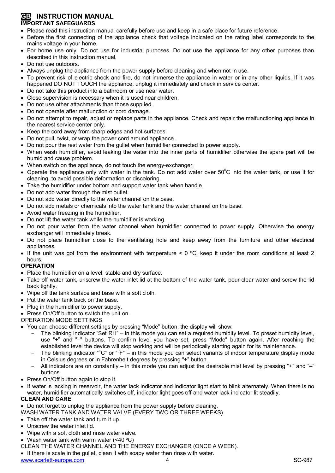#### **GB INSTRUCTION MANUAL IMPORTANT SAFEGUARDS**

- · Please read this instruction manual carefully before use and keep in a safe place for future reference.
- · Before the first connecting of the appliance check that voltage indicated on the rating label corresponds to the mains voltage in your home.
- · For home use only. Do not use for industrial purposes. Do not use the appliance for any other purposes than described in this instruction manual.
- · Do not use outdoors.
- · Always unplug the appliance from the power supply before cleaning and when not in use.
- To prevent risk of electric shock and fire, do not immerse the appliance in water or in any other liquids. If it was happened DO NOT TOUCH the appliance, unplug it immediately and check in service center.
- Do not take this product into a bathroom or use near water.
- Close supervision is necessary when it is used near children.
- Do not use other attachments than those supplied.
- · Do not operate after malfunction or cord damage.
- · Do not attempt to repair, adjust or replace parts in the appliance. Check and repair the malfunctioning appliance in the nearest service center only.
- · Keep the cord away from sharp edges and hot surfaces.
- · Do not pull, twist, or wrap the power cord around appliance.
- · Do not pour the rest water from the gullet when humidifier connected to power supply.
- · When wash humidifier, avoid leaking the water into the inner parts of humidifier otherwise the spare part will be humid and cause problem.
- · When switch on the appliance, do not touch the energy-exchanger.
- Operate the appliance only with water in the tank. Do not add water over  $50^{\circ}$ C into the water tank, or use it for cleaning, to avoid possible deformation or discoloring.
- Take the humidifier under bottom and support water tank when handle.
- Do not add water through the mist outlet.
- · Do not add water directly to the water channel on the base.
- · Do not add metals or chemicals into the water tank and the water channel on the base.
- · Avoid water freezing in the humidifier.
- · Do not lift the water tank while the humidifier is working.
- Do not pour water from the water channel when humidifier connected to power supply. Otherwise the energy exchanger will immediately break.
- · Do not place humidifier close to the ventilating hole and keep away from the furniture and other electrical appliances.
- · If the unit was got from the environment with temperature < 0 ºC, keep it under the room conditions at least 2 hours.

#### **OPERATION**

- Place the humidifier on a level, stable and dry surface.
- Take off water tank, unscrew the water inlet lid at the bottom of the water tank, pour clear water and screw the lid back tightly.
- · Wipe off the tank surface and base with a soft cloth.
- · Put the water tank back on the base.
- Plug in the humidifier to power supply.
- Press On/Off button to switch the unit on.

#### OPERATION MODE SETTINGS

- You can choose different settings by pressing "Mode" button, the display will show:
	- The blinking indicator "Set RH $-$  in this mode you can set a required humidity level. To preset humidity level, use "+" and "-" buttons. To confirm level you have set, press "Mode" button again. After reaching the established level the device will stop working and will be periodically starting again for its maintenance.
	- The blinking indicator " ${}^0C$ " or " ${}^0F$ " in this mode you can select variants of indoor temperature display mode in Celsius degrees or in Fahrenheit degrees by pressing "+" button.
	- All indicators are on constantly  $-$  in this mode you can adjust the desirable mist level by pressing "+" and " $-$ " buttons.
- · Press On/Off button again to stop it.
- If water is lacking in reservoir, the water lack indicator and indicator light start to blink alternately. When there is no water, humidifier automatically switches off, indicator light goes off and water lack indicator lit steadily.

#### **CLEAN AND CARE**

· Do not forget to unplug the appliance from the power supply before cleaning.

- WASH WATER TANK AND WATER VALVE (EVERY TWO OR THREE WEEKS)
- · Take off the water tank and turn it up.
- · Unscrew the water inlet lid.
- · Wipe with a soft cloth and rinse water valve.
- Wash water tank with warm water  $($  <40  $^{\circ}$ C)
- CLEAN THE WATER CHANNEL AND THE ENERGY EXCHANGER (ONCE A WEEK).
- If there is scale in the gullet, clean it with soapy water then rinse with water.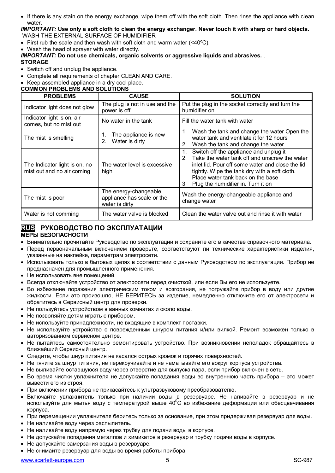· If there is any stain on the energy exchange, wipe them off with the soft cloth. Then rinse the appliance with clean water.

#### *IMPORTANT:* **Use only a soft cloth to clean the energy exchanger. Never touch it with sharp or hard objects.** WASH THE EXTERNAL SURFACE OF HUMIDIFIER

- First rub the scale and then wash with soft cloth and warm water  $($  <40 $^{\circ}$ C).
- · Wash the head of sprayer with water directly.

#### *IMPORTANT:* **Do not use chemicals, organic solvents or aggressive liquids and abrasives.** . **STORAGE**

- · Switch off and unplug the appliance.
- · Complete all requirements of chapter CLEAN AND CARE.
- · Keep assembled appliance in a dry cool place.

#### **COMMON PROBLEMS AND SOLUTIONS**

| <b>PROBLEMS</b>                                             | <b>CAUSE</b>                                                                    | <b>SOLUTION</b>                                                                                                                                                                                                                                                                    |  |
|-------------------------------------------------------------|---------------------------------------------------------------------------------|------------------------------------------------------------------------------------------------------------------------------------------------------------------------------------------------------------------------------------------------------------------------------------|--|
| Indicator light does not glow                               | The plug is not in use and the<br>power is off                                  | Put the plug in the socket correctly and turn the<br>humidifier on                                                                                                                                                                                                                 |  |
| Indicator light is on, air<br>comes, but no mist out        | No water in the tank                                                            | Fill the water tank with water                                                                                                                                                                                                                                                     |  |
| The mist is smelling                                        | The appliance is new<br>1.<br>Water is dirty<br>2.                              | Wash the tank and change the water Open the<br>1.<br>water tank and ventilate it for 12 hours<br>Wash the tank and change the water<br>2.                                                                                                                                          |  |
| The Indicator light is on, no<br>mist out and no air coming | The water level is excessive<br>high                                            | Switch off the appliance and unplug it<br>Take the water tank off and unscrew the water<br>2<br>inlet lid. Pour off some water and close the lid<br>tightly. Wipe the tank dry with a soft cloth.<br>Place water tank back on the base<br>Plug the humidifier in. Turn it on<br>3. |  |
| The mist is poor                                            | The energy-changeable<br>appliance has scale or the<br>water is dirty           | Wash the energy-changeable appliance and<br>change water                                                                                                                                                                                                                           |  |
| Water is not comming                                        | The water valve is blocked<br>Clean the water valve out and rinse it with water |                                                                                                                                                                                                                                                                                    |  |

#### RUS РУКОВОДСТВО ПО ЭКСПЛУАТАЦИИ

#### **МЕРЫ БЕЗОПАСНОСТИ**

- Внимательно прочитайте Руководство по эксплуатации и сохраните его в качестве справочного материала.
- Перед первоначальным включением проверьте, соответствуют ли технические характеристики изделия, указанные на наклейке, параметрам электросети.
- Использовать только в бытовых целях в соответствии с данным Руководством по эксплуатации. Прибор не предназначен для промышленного применения.
- Не использовать вне помещений.
- Всегда отключайте устройство от электросети перед очисткой, или если Вы его не используете.
- Во избежание поражения электрическим током и возгорания, не погружайте прибор в воду или другие жидкости. Если это произошло, НЕ БЕРИТЕСЬ за изделие, немедленно отключите его от электросети и обратитесь в Сервисный центр для проверки.
- Не пользуйтесь устройством в ванных комнатах и около воды.
- Не позволяйте детям играть с прибором.
- Не используйте принадлежности, не входящие в комплект поставки.
- Не используйте устройство с поврежденным шнуром питания и/или вилкой. Ремонт возможен только в авторизованном сервисном центре.
- Не пытайтесь самостоятельно ремонтировать устройство. При возникновении неполадок обращайтесь в ближайший Сервисный центр.
- Следите, чтобы шнур питания не касался острых кромок и горячих поверхностей.
- Не тяните за шнур питания, не перекручивайте и не наматывайте его вокруг корпуса устройства.
- Не выливайте оставшуюся воду через отверстие для выпуска пара, если прибор включен в сеть.
- Во время чистки увлажнителя не допускайте попадания воды во внутреннюю часть прибора это может вывести его из строя.
- При включении прибора не прикасайтесь к ультразвуковому преобразователю.
- Включайте увлажнитель только при наличии воды в резервуаре. Не наливайте в резервуар и не используйте для мытья воду с температурой выше 40°С во избежание деформации или обесцвечивания κορπνca.
- При перемещении увлажнителя беритесь только за основание, при этом придерживая резервуар для воды.
- Не наливайте воду через распылитель.
- Не наливайте воду напрямую через трубку для подачи воды в корпусе.
- Не допускайте попадания металлов и химикатов в резервуар и трубку подачи воды в корпусе.
- Не допускайте замерзания воды в резервуаре.
- Не снимайте резервуар для воды во время работы прибора.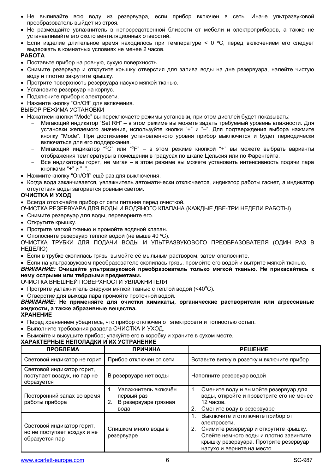- Не выливайте всю воду из резервуара, если прибор включен в сеть. Иначе ультразвуковой преобразователь выйдет из строя.
- Не размещайте увлажнитель в непосредственной близости от мебели и электроприборов, а также не устанавливайте его около вентиляционных отверстий.
- Если изделие длительное время находилось при температуре < 0 °С, перед включением его следует выдержать в комнатных условиях не менее 2 часов.

#### **РАБОТА**

- Поставьте прибор на ровную, сухую поверхность.
- Снимите резервуар и открутите крышку отверстия для залива воды на дне резервуара, налейте чистую воду и плотно закрутите крышку.
- Протрите поверхность резервуара насухо мягкой тканью.
- Установите резервуар на корпус.
- Подключите прибор к электросети.
- Нажмите кнопку "On/Off" для включения.
- ВЫБОР РЕЖИМА УСТАНОВКИ
- Нажатием кнопки "Mode" вы переключаете режимы установки, при этом дисплей будет показывать:
	- Мигающий индикатор "Set RH" в этом режиме вы можете задать требуемый уровень влажности. Для Установки желаемого значения, используйте кнопки "+" и "-". Для подтверждения выбора нажмите кнопку "Mode". При достижении установленного уровня прибор выключится и будет периодически включаться для его поддержания.
	- Мигающий индикатор "°С" или "°F" в этом режиме кнопкой "+" вы можете выбрать варианты отображения температуры в помещении в градусах по шкале Цельсия или по Фаренгейта.
	- Все индикаторы горят, не мигая в этом режиме вы можете установить интенсивность подачи пара кнопками "+" и "-".
- Нажмите кнопку "On/Off" ещё раз для выключения.
- Когда вода заканчивается, увлажнитель автоматически отключается, индикатор работы гаснет, а индикатор отсутствия воды загорается ровным светом.

#### **ОЧИСТКА И УХОД**

• Всегда отключайте прибор от сети питания перед очисткой.

ОЧИСТКА РЕЗЕРВУАРА ДЛЯ ВОДЫ И ВОДЯНОГО КЛАПАНА (КАЖДЫЕ ДВЕ-ТРИ НЕДЕЛИ РАБОТЫ)

- Снимите резервуар для воды, переверните его.
- Открутите крышку.
- Протрите мягкой тканью и промойте водяной клапан.
- Ополосните резервуар тёплой водой (не выше 40 °С).

ОЧИСТКА ТРУБКИ ДЛЯ ПОДАЧИ ВОДЫ И УЛЬТРАЗВУКОВОГО ПРЕОБРАЗОВАТЕЛЯ (ОДИН РАЗ В НЕДЕЛЮ)

• Если в трубке скопилась грязь, вымойте её мыльным раствором, затем ополосните.

#### • Если на ультразвуковом преобразователе скопилась грязь, промойте его водой и вытрите мягкой тканью.

#### **ВНИМАНИЕ: Очищайте ультразвуковой преобразователь только мягкой тканью. Не прикасайтесь к** Нему острыми или твёрдыми предметами.

ОЧИСТКА ВНЕШНЕЙ ПОВЕРХНОСТИ УВЛАЖНИТЕЛЯ

- Протрите увлажнитель снаружи мягкой тканью с теплой водой (<40°С).
- Отверстие для выхода пара промойте проточной водой.

#### ВНИМАНИЕ: Не применяйте для очистки химикаты, органические растворители или агрессивные **ЖИДКОСТИ, а также абразивные вещества.**

**ɏɊȺɇȿɇɂȿ**

- Перед хранением убедитесь, что прибор отключен от электросети и полностью остыл.
- Выполните требования раздела ОЧИСТКА И УХОД.

#### Вымойте и высушите прибор: упакуйте его в коробку и храните в сухом месте.

#### **ХАРАКТЕРНЫЕ НЕПОЛАДКИ И ИХ УСТРАНЕНИЕ ɉɊɈȻɅȿɆȺ ɉɊɂɑɂɇȺ Ɋȿɒȿɇɂȿ** Световой индикатор не горит | Прибор отключен от сети | Вставьте вилку в розетку и включите прибор Световой индикатор горит. поступает воздух, но пар не образуется В резервуаре нет воды<br>
• Паполните резервуар водой Посторонний запах во время работы прибора 1. Увлажнитель включён первый раз 2. В резервуаре грязная вода 1. Смените воду и вымойте резервуар для воды, откройте и проветрите его не менее 12 часов. 2. Смените воду в резервуаре Световой индикатор горит. но не поступает воздух и не образуется пар Слишком много воды в pesepsyape 1. Выключите и отключите прибор от электросети. 2. Снимите резервуар и открутите крышку. Слейте немного воды и плотно завинтите крышку резервуара. Протрите резервуар насухо и верните на место.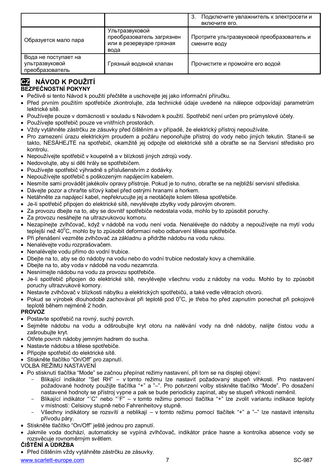|                                                           |                                                                                 | 3.<br>Подключите увлажнитель к электросети и<br>включите его. |
|-----------------------------------------------------------|---------------------------------------------------------------------------------|---------------------------------------------------------------|
| Образуется мало пара                                      | Ультразвуковой<br>преобразователь загрязнен<br>или в резервуаре грязная<br>вода | Протрите ультразвуковой преобразователь и<br>смените воду     |
| Вода не поступает на<br>ультразвуковой<br>преобразователь | Грязный водяной клапан                                                          | Прочистите и промойте его водой                               |

#### **CZ NÁVOD K POUäITÍ BEZPEýNOSTNÍ POKYNY**

- Pečlivě si tento Návod k použití přečtěte a uschovejte jej jako informační příručku.
- Před prvním použitím spotřebiče zkontrolujte, zda technické údaje uvedené na nálepce odpovídají parametrům lektrické sítě.
- · Používejte pouze v domácnosti v souladu s Návodem k použití. Spotřebič není určen pro průmyslové účely.
- Používejte spotřebič pouze ve vnitřních prostorách.
- · Vždy vytáhněte zástrčku ze zásuvky před čištěním a v případě, že elektrický přístroj nepoužíváte.
- · Pro zamezení úrazu elektrickým proudem a požáru neponořujte přístroj do vody nebo jiných tekutin. Stane-li se takto, NESÁHEJTE na spotřebič, okamžitě jej odpojte od elektrické sítě a obraťte se na Servisní středisko pro kontrolu.
- · Nepoužívejte spotřebič v koupelně a v blízkosti jiných zdrojů vody.
- · Nedovolujte, aby si děti hrály se spotřebičem.
- Používejte spotřebič výhradně s příslušenstvím z dodávky.
- Nepoužívejte spotřebič s poškozeným napájecím kabelem.
- · Nesmíte sami provádět jakékoliv opravy přístroje. Pokud je to nutno, obraťte se na nejbližší servisní střediska.
- Dávejte pozor a chraňte síťový kabel před ostrými hranami a horkem.
- Netáhněte za napájecí kabel, nepřekrucujte jej a neotáčejte kolem tělesa spotřebiče.
- · Je-li spotřebič připojen do elektrické sítě, nevylévejte zbytky vody párovým otvorem.
- Za provozu dbejte na to, aby se dovnitř spotřebiče nedostala voda, mohlo by to způsobit poruchy.
- · Za provozu nesáhejte na ultrazvukovou komoru.
- · Nezapínejte zvlhčovač, když v nádobě na vodu není voda. Nenalévejte do nádoby a nepoužívejte na mytí vodu teplejší než 40°C, mohlo by to způsobit deformaci nebo odbarvení tělesa spotřebiče.
- · Při přenášení vezměte zvlhčovač za základnu a přidržte nádobu na vodu rukou.
- · Nenalévejte vodu rozprašovačem.
- Nenalévejte vodu přímo do vodní trubice.
- · Dbejte na to, aby se do nádoby na vodu nebo do vodní trubice nedostaly kovy a chemikálie.
- · Dbejte na to, aby voda v nádobě na vodu nezamrzla.
- · Nesnímejte nádobu na vodu za provozu spotřebiče.
- · Je-li spotřebič připojen do elektrické sítě, nevylévejte všechnu vodu z nádoby na vodu. Mohlo by to způsobit poruchy ultrazvukové komory.
- Nestavte zvlhčovač v blízkosti nábytku a elektrických spotřebičů, a také vedle větracích otvorů.
- Pokud se výrobek dlouhodobě zachovával při teplotě pod 0°C, je třeba ho před zapnutím ponechat při pokojové teplotě během nejméně 2 hodin.

#### **PROVOZ**

- Postavte spotřebič na rovný, suchý povrch.
- · Sejměte nádobu na vodu a odšroubujte kryt otoru na nalévání vody na dně nádoby, nalijte čistou vodu a zaãroubujte kryt.
- · Otřete povrch nádoby jemným hadrem do sucha.
- · Nastavte nádobu a tělese spotřebiče.
- · Připojte spotřebič do elektrické sítě.
- · Stiskněte tlačítko "On/Off" pro zapnutí.
- VOLBA REäIMU NASTAVENÍ
- · Po stisknutí tlačítka "Mode" se začnou přepínat režimy nastavení, při tom se na displeji objeví:
	- Blikající indikátor "Set RH" v tomto režimu lze nastavit požadovaný stupeň vlhkosti. Pro nastavení požadované hodnoty použijte tlačítka "+" a "-". Pro potvrzení volby stiskněte tlačítko "Mode". Po dosažení nastavené hodnoty se přístroj vypne a pak se bude periodicky zapínat, aby se stupeň vlhkosti neměnil.
	- Blikající indikátor "<sup>0</sup>C" nebo "<sup>0</sup>F" v tomto režimu pomocí tlačítka "+" lze zvolit variantu indikace teploty v místnosti: Celsiovy stupně nebo Fahrenheitovy stupně.
	- Všechny indikátory se rozsvítí a neblikají v tomto režimu pomocí tlačítek "+" a "-" lze nastavit intensitu přívodu páry.
- Stiskněte tlačítko "On/Off" ještě jednou pro zapnutí.
- Jakmile voda dochází, automaticky se vypíná zvlhčovač, indikátor práce hasne a kontrolka absence vody se rozsvěcuje rovnoměrným světlem.

#### **ý,â7ċNÍ A ÚDRäBA**

· Před čištěním vždy vytáhněte zástrčku ze zásuvky.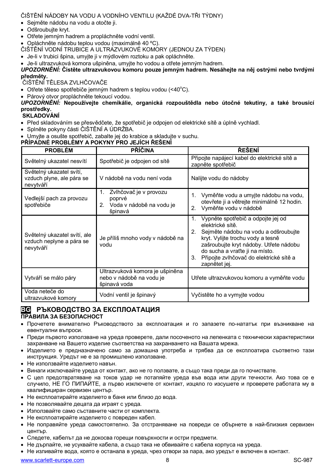#### ČIŠTĚNÍ NÁDOBY NA VODU A VODNÍHO VENTILU (KAŽDÉ DVA-TŘI TÝDNY)

- · Sejměte nádobu na vodu a otočte ji.
- · Odãroubujte kryt.
- Otřete jemným hadrem a propláchněte vodní ventil.
- Opláchněte nádobu teplou vodou (maximálně 40 °C).
- ČIŠTĚNÍ VODNÍ TRUBICE A ULTRAZVUKOVÉ KOMORY (JEDNOU ZA TÝDEN)
- Je-li v trubici špina, umyjte ji v mýdlovém roztoku a pak opláchněte.
- · Je-li ultrazvuková komora ušpiněna, umyjte ho vodou a otřete jemným hadrem.

*UPOZORNċNÍ:***ýistČte ultrazvukovou komoru pouze jemným hadrem. Nesáhejte na nČj ostrými nebo tvrdými SĜedmČty.**

#### ČIŠTĚNÍ TĚLESA ZVLHČOVAČE

- Otřete těleso spotřebiče jemným hadrem s teplou vodou  $(< 40^{\circ}C)$ .
- · Párový otvor propláchněte tekoucí vodou.

*UPOZORNċNÍ:* **Nepouåívejte chemikálie, organická rozpouãWČdla nebo útoþné tekutiny, a také brousicí prostĜedky.**

#### **SKLADOVÁNÍ**

- Před skladováním se přesvědčete, že spotřebič je odpojen od elektrické sítě a úplně vychladl.
- Splněte pokyny části ČIŠTĚNÍ A ÚDRŽBA.
- · Umyjte a osušte spotřebič, zabalte jej do krabice a skladujte v suchu.

#### **3ěÍPADNÉ PROBLÉMY A POKYNY PRO JEJÍCH ě(âENÍ**

| <b>PROBLÉM</b>                                                        | <b>PŘÍČINA</b>                                                                      | <b>RESENÍ</b>                                                                                                                                                                                                                                                                                 |
|-----------------------------------------------------------------------|-------------------------------------------------------------------------------------|-----------------------------------------------------------------------------------------------------------------------------------------------------------------------------------------------------------------------------------------------------------------------------------------------|
| Světelný ukazatel nesvítí                                             | Spotřebič je odpojen od sítě                                                        | Připojte napájecí kabel do elektrické sítě a<br>zapněte spotřebič                                                                                                                                                                                                                             |
| Světelný ukazatel svítí,<br>vzduch plyne, ale pára se<br>nevytváří    | V nádobě na vodu není voda                                                          | Nalijte vodu do nádoby                                                                                                                                                                                                                                                                        |
| Vedlejší pach za provozu<br>spotřebiče                                | Zvlhčovač je v provozu<br>1.<br>poprvé<br>Voda v nádobě na vodu je<br>2.<br>špinavá | 1. Vyměňte vodu a umyjte nádobu na vodu,<br>otevřete ji a větrejte minimálně 12 hodin.<br>2. Vyměňte vodu v nádobě                                                                                                                                                                            |
| Světelný ukazatel svítí, ale<br>vzduch neplyne a pára se<br>nevytváří | Je příliš mnoho vody v nádobě na<br>vodu                                            | Vypněte spotřebič a odpojte jej od<br>1.<br>elektrické sítě.<br>Sejměte nádobu na vodu a odšroubujte<br>2.<br>kryt. Vylijte trochu vody a tesně<br>zašroubujte kryt nádoby. Utřete nádobu<br>do sucha a vratte ji na místo.<br>Připojte zvlhčovač do elektrické sítě a<br>3.<br>zapnětet jej. |
| Vytváří se málo páry                                                  | Ultrazvuková komora je ušpiněna<br>nebo v nádobě na vodu je<br>špinavá voda         | Utřete ultrazvukovou komoru a vyměňte vodu                                                                                                                                                                                                                                                    |
| Voda neteče do<br>ultrazvukové komory                                 | Vodní ventil je špinavý                                                             | Vyčistěte ho a vymyjte vodou                                                                                                                                                                                                                                                                  |

#### ВС РЪКОВОДСТВО ЗА ЕКСПЛОАТАЦИЯ ПРАВИЛА ЗА БЕЗОПАСНОСТ

- Прочетете внимателно Ръководството за експлоатация и го запазете по-нататък при възникване на евентуални въпроси.
- Преди първото използване на уреда проверете, дали посоченото на лепенката с технически характеристики захранване на Вашето изделие съответства на захранването на Вашата мрежа.
- Изделието е предназначено само за домашна употреба и трябва да се експлоатира съответно тази инструкция. Уредът не е за промишлено използване.
- Не използвайте изделието навън.
- Винаги изключвайте уреда от контакт, ако не го ползвате, а също така преди да го почиствате.
- С цел предотвратяване на токов удар не потапяйте уреда във вода или други течности. Ако това се е случило, НЕ ГО ПИПАЙТЕ, а първо изключете от контакт, изцяло го изсушете и проверете работата му в квалифициран сервизен център.
- Не експлоатирайте изделието в баня или близо до вода.
- Не позволявайте децата да играят с уреда.
- Използвайте само съставните части от комплекта.
- Не експлоатирайте изделието с повреден кабел.
- Не поправяйте уреда самостоятелно. За отстраняване на повреди се обърнете в най-близкия сервизен център.
- Следете, кабелът да не докосва горещи повърхности и остри предмети.
- Не дърпайте, не усуквайте кабела, а също така не обвивайте с кабела корпуса на уреда.
- Не изливайте вода, която е останала в уреда, чрез отвори за пара, ако уредът е включен в контакт.

www.scarlett-europe.com and the set of the set of the set of the set of the set of the set of the set of the set of the set of the set of the set of the set of the set of the set of the set of the set of the set of the set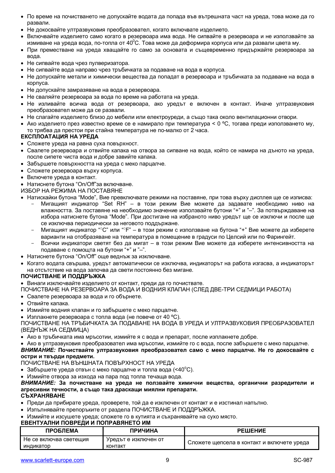- По време на почистването не допускайте водата да попада във вътрешната част на уреда, това може да го развали.
- Не докосвайте ултразвуковия преобразовател, когато включвате изделието.
- Включвайте изделието само когато в резервоара има вода. Не сипвайте в резервоара и не използвайте за измиване на уреда вода, по-топла от 40<sup>°</sup>С. Това може да деформира корпуса или да развали цвета му.
- При преместване на уреда хващайте го само за основата и същевременно придържайте резервоара за вода.
- Не сипвайте вода чрез пулверизатора.
- Не сипвайте вода направо чрез тръбичката за подаване на вода в корпуса.
- Не допускайте метали и химически вещества да попадат в резервоара и тръбичката за подаване на вода в κορπνca.
- Не допускайте замразяване на вода в резервоара.
- Не сваляйте резервоара за вода по време на работата на уреда.
- Не изливайте всичка вода от резервоара, ако уредът е включен в контакт. Иначе ултразвуковия преобразовател може да се развали.
- Не слагайте изделието близо до мебели или електроуреди, а също така около вентилационни отвори.
- Ако изделието през известно време се е намирало при температура < 0 °С, тогава преди използването му, то трябва да престои при стайна температура не по-малко от 2 часа.

#### ЕКСПЛОАТАЦИЯ НА УРЕДА

- Сложете уреда на равна суха повърхност.
- Свалете резервоара и отвийте капака на отвора за сипване на вода, който се намира на дъното на уреда, после сипете чиста вода и добре завийте капака.
- Забършете повърхността на уреда с меко парцалче.
- Сложете резервоара върху корпуса.
- Включете уреда в контакт.
- Натиснете бутона "On/Off" за включване.
- ИЗБОР НА РЕЖИМА НА ПОСТАВЯНЕ
- Натискайки бутона "Mode", Вие превключвате режими на поставяне, при това върху дисплея ще се изписва:
	- Мигащият индикатор "Set RH" в този режим Вие можете да задавате необходимо ниво на влажността. За поставяне на необходимо значение използвайте бутони "+" и "-". За потвърждаване на избора натиснете бутона "Mode". При достигане на избраното ниво уредът ще се изключи и после ще се изключва периодически за неговото поддържане.
	- Мигащият индикатор "°С" или "°F" в този режим с използване на бутона "+" Вие можете да изберете варианти на отобразяване на температура в помещение в градуси по Целсий или по Фарингейт.
	- Всички индикатори светят без да мигат в този режим Вие можете да изберете интенсивността на подаване с помощта на бутони "+" и "-".
- Натиснете бутона "On/Off" още веднъж за изключване.
- Когато водата свършва, уредът автоматически се изключва, индикаторът на работа изгасва, а индикаторът на отсътствие на вода започва да свети постоянно без мигане.

#### ПОЧИСТВАНЕ И ПОДДРЪЖКА

Винаги изключвайте изделието от контакт, преди да го почиствате.

ПОЧИСТВАНЕ НА РЕЗЕРВОАРА ЗА ВОДА И ВОДНИЯ КЛАПАН (СЛЕД ДВЕ-ТРИ СЕДМИЦИ РАБОТА)

- Свалете резервоара за вода и го обърнете.
- Отвийте капака.
- Измийте водния клапан и го забършете с меко парцалче.
- Изплакнете резервоара с топла вода (не повече от 40 °С).

ПОЧИСТВАНЕ НА ТРЪБИЧКАТА ЗА ПОДАВАНЕ НА ВОДА В УРЕДА И УЛТРАЗВУКОВИЯ ПРЕОБРАЗОВАТЕЛ (ВЕДНЪЖ НА СЕДМИЦА)

• Ако в тръбичката има мръсотии, измийте я с вода и препарат, после изплакнете добре.

• Ако в ултразвуковия преобразовател има мръсотии, измийте го с вода, после забършете с меко парцалче.

**ВНИМАНИЕ:** Почиствайте ултразвуковия преобразовател само с меко парцалче. Не го докосвайте с **• остри и твърди предмети.** 

- ПОЧИСТВАНЕ НА ВЪНШНАТА ПОВЪРХНОСТ НА УРЕДА
- Забършете уреда отвън с меко парцалче и топла вода (<40<sup>°</sup>С).
- Измийте отвора за изхода на пара под топла течаща вода.

#### **ВНИМАНИЕ: За почистване на уреда не ползвайте химични вещества, органични разредители и** агресивни течности, а също така драскащи миялни препарати.

#### **СЪХРАНЯВАНЕ**

- Преди да прибирате уреда, проверете, той да е изключен от контакт и е изстинал напълно.
- Изпълнявайте препоръките от раздела ПОЧИСТВАНЕ И ПОДДРЪЖКА.
- Измийте и изсушете уреда; сложете го в кутията и съхранявайте на сухо място.

#### **ЕВЕНТУАЛНИ ПОВРЕДИ И ПОПРАВЯНЕТО ИМ**

| <b>ПРОБЛЕМА</b>                     | ПРИЧИНА                         | <b>РЕШЕНИЕ</b>                             |
|-------------------------------------|---------------------------------|--------------------------------------------|
| Не се включва светещия<br>индикатор | Уредът е изключен от<br>контакт | Сложете щепсела в контакт и включете уреда |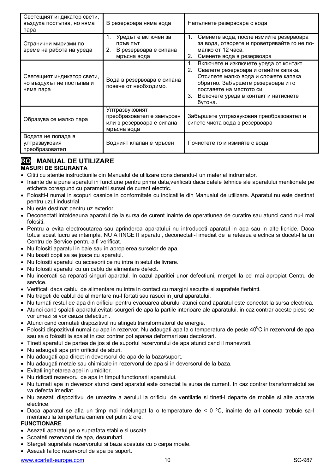| Светещият индикатор свети,<br>въздуха постъпва, но няма<br>пара      | В резервоара няма вода                                                                  | Напълнете резервоара с вода                                                                                                                                                                                                                                   |
|----------------------------------------------------------------------|-----------------------------------------------------------------------------------------|---------------------------------------------------------------------------------------------------------------------------------------------------------------------------------------------------------------------------------------------------------------|
| Странични миризми по<br>време на работа на уреда                     | Уредът е включен за<br>1.<br>пръв път<br>2.<br>В резервоара е сипана<br>мръсна вода     | Сменете вода, после измийте резервоара<br>1.<br>за вода, отворете и проветрявайте го не по-<br>малко от 12 часа.<br>2.<br>Сменете вода в резервоара                                                                                                           |
| Светещият индикатор свети,<br>но въздухът не постъпва и<br>няма пара | Вода в резервоара е сипана<br>повече от необходимо.                                     | 1.<br>Включете и изключете уреда от контакт.<br>Свалете резервоара и отвийте капака.<br>2.<br>Отсипете малко вода и сложете капака<br>обратно. Забършете резервоара и го<br>поставете на мястото си.<br>3.<br>Включете уреда в контакт и натиснете<br>бутона. |
| Образува се малко пара                                               | Ултразвуковият<br>преобразовател е замърсен<br>или в резервоара е сипана<br>мръсна вода | Забършете ултразвуковия преобразовател и<br>сипете чиста вода в резервоара                                                                                                                                                                                    |
| Водата не попада в<br>ултразвуковия<br>преобразовател                | Водният клапан е мръсен                                                                 | Почистете го и измийте с вода                                                                                                                                                                                                                                 |

#### **RO MANUAL DE UTILIZARE MASURI DE SIGURANTA**

- · Cititi cu atentie instructiunile din Manualul de utilizare considerandu-l un material indrumator.
- · Inainte de a pune aparatul in functiune pentru prima data,verificati daca datele tehnice ale aparatului mentionate pe eticheta corespund cu parametrii sursei de curent electric.
- · Folositi-l numai in scopuri casnice in conformitate cu indicatiile din Manualul de utilizare. Aparatul nu este destinat pentru uzul industrial.
- Nu este destinat pentru uz exterior.
- · Deconectati intotdeauna aparatul de la sursa de curent inainte de operatiunea de curatire sau atunci cand nu-l mai folositi.
- · Pentru a evita electrocutarea sau aprinderea aparatului nu introduceti aparatul in apa sau in alte lichide. Daca totusi acest lucru se intampla, NU ATINGETI aparatul, deconectati-l imediat de la reteaua electrica si duceti-l la un Centru de Service pentru a fi verificat.
- · Nu folositi aparatul in baie sau in apropierea surselor de apa.
- · Nu lasati copii sa se joace cu aparatul.
- · Nu folositi aparatul cu accesorii ce nu intra in setul de livrare.
- · Nu folositi aparatul cu un cablu de alimentare defect.
- · Nu incercati sa reparati singuri aparatul. In cazul aparitiei unor defectiuni, mergeti la cel mai apropiat Centru de service.
- · Verificati daca cablul de alimentare nu intra in contact cu margini ascutite si suprafete fierbinti.
- · Nu trageti de cablul de alimentare nu-l fortati sau rasuci in jurul aparatului.
- · Nu turnati restul de apa din orificiul pentru evacuarea aburului atunci cand aparatul este conectat la sursa electrica.
- Atunci cand spalati aparatul, evitati scurgeri de apa la partile interioare ale aparatului, in caz contrar aceste piese se vor umezi si vor cauza defectiuni.
- · Atunci cand comutati dispozitivul nu atingeti transformatorul de energie.
- Folositi dispozitivul numai cu apa in rezervor. Nu adaugati apa la o temperatura de peste 40 $\degree$ C in rezervorul de apa sau sa o folositi la spalat in caz contrar pot aparea deformari sau decolorari.
- · Tineti aparatul de partea de jos si de suportul rezervorului de apa atunci cand il manevrati.
- · Nu adaugati apa prin orificiul de aburi.
- · Nu adaugati apa direct in deversorul de apa de la baza/suport.
- · Nu adaugati metale sau chimicale in rezervorul de apa si in deversorul de la baza.
- Evitati inghetarea apei in umiditor.
- · Nu ridicati rezervorul de apa in timpul functionarii aparatului.
- Nu turnati apa in deversor atunci cand aparatul este conectat la sursa de current. In caz contrar transformatotul se va defecta imediat.
- · Nu asezati dispozitivul de umezire a aerului la orificiul de ventilatie si tineti-l departe de mobile si alte aparate electrice.
- · Daca aparatul se afla un timp mai indelungat la o temperature de < 0 ºC, inainte de a-l conecta trebuie sa-l mentineti la tempertura camerii cel putin 2 ore.

#### **FUNCTIONARE**

- · Asezati aparatul pe o suprafata stabile si uscata.
- Scoateti rezervorul de apa, desurubati.
- Stergeti suprafata rezervorului si baza acestuia cu o carpa moale.
- Asezati la loc rezervorul de apa pe suport.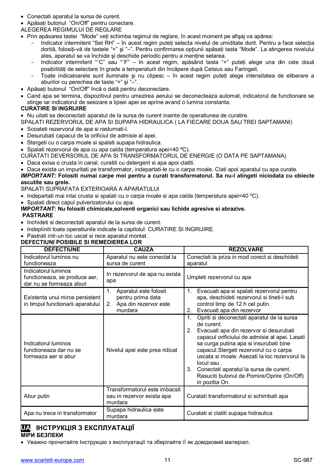- · Conectati aparatul la sursa de curent.
- · Apăsați butonul "On/Off" pentru conectare.
- ALEGEREA REGIMULUI DE REGLARE
- Prin apăsarea tastei "Mode" veti schimba regimul de reglare, în acest moment pe afisaj va apărea:
	- Indicator intermitent "Set RH" în acest regim puteți selecta nivelul de umiditate dorit. Pentru a face selecția dorită, folositi-vă de tastele "+" și "-". Pentru confirmarea optiunii apăsati tasta "Mode". La atingerea nivelului ales, aparatul se va închide și deschide periodic pentru a menține setarea.
	- Indicator intermitent "<sup>o</sup>C" sau "<sup>o</sup>F" în acest regim, apăsând tasta "+" puteți alege una din cele două posibilităti de selectare în grade a temperaturii din încăpere după Celsius sau Faringeit.
	- Toate indicatoarele sunt iluminate și nu clipesc în acest regim puteti alege intensitatea de eliberare a aburilor cu perechea de taste "+" și "-".
- · Apăsați butonul "On/Off" încă o dată pentru deconectare.
- · Cand apa se termina, dispozitivul pentru umezirea aerului se deconecteaza automat, indicatorul de functionare se stinge iar indicatorul de sesizare a lipsei apei se aprine avand o lumina constanta.

#### **CURATIRE SI INGRIJIRE**

· Nu uitati sa deconectati aparatul de la sursa de curent inainte de operatiunea de curatire.

SPALATI REZERVORUL DE APA SI SUPAPA HIDRAULICA ( LA FIECARE DOUA SAU TREI SAPTAMANI)

- · Scoateti rezervorul de apa si rasturnati-l.
- · Desurubati capacul de la orificiul de admisie al apei.
- · Stergeti cu o carpa moale si spalati supapa hidraulica.
- · Spalati rezervorul de apa cu apa calda (temperatura apei<40 ºC).
- CURATATI DEVERSORUL DE APA SI TRANSFORMATORUL DE ENERGIE (O DATA PE SAPTAMANA)
- · Daca exisa o crusta in canal, curatiti cu detergent si apa apoi clatiti.
- · Daca exista un impuritati pe transformator, indepartati-le cu o carpa moale. Clati apoi aparatul cu apa curate.

#### *IMPORTANT:* **Folositi numai carpe moi pentru a curati transformatorul. Sa nu-l atingeti niciodata cu obiecte ascutite sau grele.**

- SPALATI SUPRAFATA EXTERIOARA A APARATULUI
- Indepartati mai intai crusta si spalati cu o carpa moale si apa calda (temperatura apei<40 °C).
- · Spalati direct capul pulverizatorului cu apa.

#### **IMP***ORTANT***: Nu folositi chimicale,solventi organici sau lichide agresive si abrazive. PASTRARE**

- · Inchideti si deconectati aparatul de la sursa de curent.
- · Indepliniti toate operatiunile indicate la capitolul: CURATIRE SI INGRIJIRE.

#### Pastrati intr-un loc uscat si rece aparatul montat.

#### **DEFECTIUNI POSIBILE SI REMEDIEREA LOR**

| <b>DEFECTIUNE</b>                                                                | <b>CAUZA</b>                                                                                           | <b>REZOLVARE</b>                                                                                                                                                                                                                                                                                                                                                                                                                                |
|----------------------------------------------------------------------------------|--------------------------------------------------------------------------------------------------------|-------------------------------------------------------------------------------------------------------------------------------------------------------------------------------------------------------------------------------------------------------------------------------------------------------------------------------------------------------------------------------------------------------------------------------------------------|
| Indicatorul luminos nu<br>functioneaza                                           | Aparatul nu este conectat la<br>sursa de curent                                                        | Conectati la priza in mod corect si deschideti<br>aparatul                                                                                                                                                                                                                                                                                                                                                                                      |
| Indicatorul luminos<br>functioneaza, se produce aer,<br>dar nu se formeaza aburi | In rezervorul de apa nu exista<br>apa                                                                  | Umpleti rezervorul cu apa                                                                                                                                                                                                                                                                                                                                                                                                                       |
| Existenta unui miros persistent<br>in timpul functionarii aparatului             | Aparatul este folosit<br>$\mathbf{1}$ .<br>pentru prima data<br>Apa din rezervor este<br>2.<br>murdara | Evacuati apa si spalati rezervorul pentru<br>$1_{-}$<br>apa, deschideti rezervorul si tineti-l sub<br>control timp de 12 h cel putin.<br>Evacuati apa din rezervor<br>2.                                                                                                                                                                                                                                                                        |
| Indicatorul luminos<br>functioneaza dar nu se<br>formeaza aer si abur            | Nivelul apei este prea ridicat                                                                         | $1_{\cdot}$<br>Opriti si deconectati aparatul de la sursa<br>de curent.<br>2.<br>Evacuati apa din rezervor si desurubati<br>capacul orificiului de admisie al apei. Lasati<br>sa curga putina apa si insurubati bine<br>capacul. Stergeti rezervorul cu o carpa<br>uscata si moale. Asezati la loc rezervorul la<br>locul sau.<br>3.<br>Conectati aparatul la sursa de curent.<br>Rasuciti butonul de Pornire/Oprire (On/Off)<br>in pozitia On. |
| Abur putin                                                                       | Transformatorul este imbacsit<br>sau in rezervor exista apa<br>murdara                                 | Curatati transformatorul si schimbati apa                                                                                                                                                                                                                                                                                                                                                                                                       |
| Apa nu trece in transformator                                                    | Supapa hidraulica este<br>murdara                                                                      | Curatati si clatiti supapa hidraulica                                                                                                                                                                                                                                                                                                                                                                                                           |

#### **UA IHCTPУКЦІЯ З ЕКСПЛУАТАЦІЇ МІРИ БЕЗПЕКИ**

• Уважно прочитайте Інструкцію з експлуатації та зберігайте її як довідковий матеріал.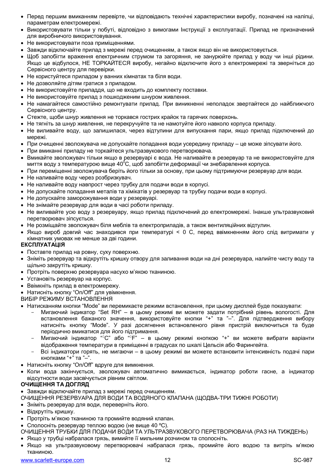- Перед першим вмиканням перевірте, чи відповідають технічні характеристики виробу, позначені на наліпці, параметрам електромережі.
- Використовувати тільки у побуті, відповідно з вимогами Інструкції з експлуатації. Прилад не призначений для виробничого використовування.
- Не використовувати поза приміщеннями.
- Завжди відключайте прилад з мережі перед очищенням, а також якщо він не використовується.
- Шоб запобігти враження електричним струмом та загоряння, не занурюйте прилад у воду чи інші рідини. Якщо це відбулося, НЕ ТОРКАЙТЕСЯ виробу, негайно відключите його з електромережі та зверніться до Сервісного центру для перевірки.
- Не користуйтеся приладом у ванних кімнатах та біля води.
- Не дозволяйте дітям гратися з приладом.
- Не використовуйте приладдя, що не входить до комплекту поставки.
- Не використовуйте прилад з пошкодженим шнуром живлення.
- Не намагайтеся самостійно ремонтувати прилад. При виникненні неполадок звертайтеся до найближчого Сервісного центру.
- Стежте, шоби шнур живлення не торкався гострих крайок та гарячих поверхонь.
- Не тягніть за шнур живлення, не перекручуйте та не намотуйте його навколо корпуса приладу.
- Не виливайте воду, що залишилася, через відтулини для випускання пари, якщо прилад підключений до  $M$ ene $x$ i
- При очищенні зволожувача не допускайте попадання води усередину приладу це може зіпсувати його.
- При вмиканні приладу не торкайтеся ультразвукового перетворювача.
- Вмикайте зволожувач тільки якщо в резервуарі є вода. Не наливайте в резервуар та не використовуйте для миття воду з температурою више 40<sup>°</sup>С, щоб запобігти деформації чи знебарвлення корпуса.
- При переміщенні зволожувача беріть його тільки за основу, при цьому підтримуючи резервуар для води.
- Не наливайте воду через розбризкувач.
- Не наливайте воду навпрост через трубку для подачи води в корпусі.
- Не допускайте попадання металів та хімікатів у резервуар та трубку подачи води в корпусі.
- Не допускайте заморожування води у резервуарі.
- Не знімайте резервуар для води в часі роботи приладу.
- Не виливайте усю воду з резервуару, якщо прилад підключений до електромережі. Інакше ультразвуковий перетворювач зіпсується.
- Не розмішайте зволожувач біля меблів та електроприладів, а також вентиляційних відтулин.
- Якщо вироб довгий час знаходився при температурі < 0 С, перед ввімкненням його слід витримати у кімнатних умовах не менше за дві години.

#### **ЕКСПЛУАТАЦІЯ**

- Поставте прилад на ровну, суху поверхню.
- Зніміть резервуар та відкрутіть кришку отвору для заливання води на дні резервуара, налийте чисту воду та щільно закрутіть кришку.
- Протріть поверхню резервуара насухо м'якою тканиною.
- Установіть резервуар на корпус.
- Ввімкніть прилад в електромережу.
- Натисніть кнопку "On/Off" для увімкнення.

#### ВИБІР РЕЖИМУ ВСТАНОВЛЕННЯ

- Натисканням кнопки "Mode" ви перемикаєте режими встановлення, при цьому дисплей буде показувати:
	- Мигаючий індикатор "Set RH" в цьому режимі ви можете задати потрібний рівень вологості. Для встановлення бажаного значення, використовуйте кнопки "+" та "-". Для підтвердження вибору натисніть кнопку "Mode". У разі досягнення встановленого рівня пристрій виключиться та буде періодично вмикатися для його підтримання.
	- Мигаючий індикатор "°С" або "<sup>°</sup> = в цьому режимі кнопкою "+" ви можете вибрати варіанти відображення температури в приміщенні в градусах по шкалі Цельсія або Фарингейта.
	- Всі індикатори горять, не мигаючи в цьому режимі ви можете встановити інтенсивність подачі пари кнопками "+" та "-".
- Натисніть кнопку "On/Off" вдруге для вимкнення.
- Коли вода закінчується, зволожувач автоматично вимикається, індикатор роботи гасне, а індикатор відсутности води засвічується рівним світлом.

#### ОЧИШЕННЯ ТА ДОГЛЯД

• Завжди відключайте прилад з мережі перед очищенням.

ОЧИЩЕННЯ РЕЗЕРВУАРА ДЛЯ ВОДИ ТА ВОДЯНОГО КЛАПАНА (ЩОДВА-ТРИ ТИЖНІ РОБОТИ)

- Зніміть резервуар для води, переверніть його.
- Відкрутіть кришку.
- Протріть м'якою тканиною та промийте водяний клапан.
- Сполосніть резервуар теплою водою (не више 40 °С).
- ОЧИЩЕННЯ ТРУБКИ ДЛЯ ПОДАЧИ ВОДИ ТА УЛЬТРАЗВУКОВОГО ПЕРЕТВОРЮВАЧА (РАЗ НА ТИЖДЕНЬ)
- Якщо у трубці набралася грязь, вимийте її мильним розчином та сполосніть.
- Якщо на ультразвуковому перетворювачі набралася грязь, промийте його водою та витріть м'якою тканиною.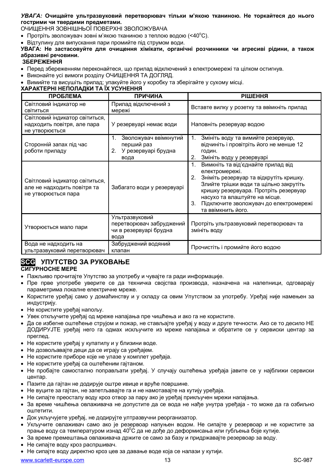#### УВАГА: Очищайте ультразвуковий перетворювач тільки м'якою тканиною. Не торкайтеся до нього гострими чи твердими предметами.

ОЧИЩЕННЯ ЗОВНІШНЬОЇ ПОВЕРХНІ ЗВОЛОЖУВАЧА

- Протріть зволожувач зовні м'якою тканиною з теплою водою  $(40^{\circ}C)$ .
- Відтулину для випускання пари промийте під струмом води.

УВАГА: Не застасовуйте для очищення хімікати, органічні розчинники чи агресиві рідини, а також  $\overline{a}$ бразивні речовини.

#### ЗБЕРЕЖЕННЯ

- Перед збереженням переконайтеся, що прилад відключений з електромережі та цілком остигнув.
- Виконайте усі вимоги розділу ОЧИЩЕННЯ ТА ДОГЛЯД.

• Вимийте та висушіть прилад; упакуйте його у коробку та зберігайте у сухому місці.

#### **ɏȺɊȺɄɌȿɊɇȱɇȿɉɈɅȺȾɄɂɌȺȲɏɍɋɍɇȿɇɇə**

| <b>ПРОБЛЕМА</b>                                                                      | <b>ПРИЧИНА</b>                                                                 | <b>РІШЕННЯ</b>                                                                                                                                                                                                                                                                            |
|--------------------------------------------------------------------------------------|--------------------------------------------------------------------------------|-------------------------------------------------------------------------------------------------------------------------------------------------------------------------------------------------------------------------------------------------------------------------------------------|
| Світловий індикатор не<br>СВІТИТЬСЯ                                                  | Прилад відключений з<br>мережі                                                 | Вставте вилку у розетку та ввімкніть прилад                                                                                                                                                                                                                                               |
| Світловий індикатор світиться,<br>надходить повітря, але пара<br>не утворюється      | У резервуарі немає води                                                        | Наповніть резервуар водою                                                                                                                                                                                                                                                                 |
| Сторонній запах під час<br>роботи приладу                                            | Зволожувач ввімкнутий<br>1.<br>перший раз<br>У резервуарі брудна<br>2.<br>вода | Змініть воду та вимийте резервуар,<br>1.<br>відчиніть і провітріть його не менше 12<br>ГОДИН.<br>Змініть воду у резервуарі<br>2.                                                                                                                                                          |
| Світловий індикатор світиться,<br>але не надходить повітря та<br>не утворюється пара | Забагато води у резервуарі                                                     | Вимкніть та від'єднайте прилад від<br>електромережі.<br>Зніміть резервуар та відкрутіть кришку.<br>Злийте трішки води та щільно закрутіть<br>кришку резервуара. Протріть резервуар<br>насухо та влаштуйте на місце.<br>Підключите зволожувач до електромережі<br>3.<br>та ввімкнить його. |
| Утворюється мало пари                                                                | Ультразвуковий<br>перетворювач забруджений<br>чи в резервуарі брудна<br>вода   | Протріть ультразвуковий перетворювач та<br>змініть воду                                                                                                                                                                                                                                   |
| Вода не надходить на<br>ультразвуковий перетворювач                                  | Забруджений водяний<br>клапан                                                  | Прочистіть і промийте його водою                                                                                                                                                                                                                                                          |

## SCG **YNYTCTBO 3A PYKOBAHLE**

#### **СИГУРНОСНЕ МЕРЕ**

- Пажљиво прочитајте Упутство за употребу и чувајте га ради информације.
- Пре прве употребе уверите се да техничка својства производа, назначена на налепници, одговарају параметрима локалне електричне мреже.
- Користите урећај само у домаћинству и у складу са овим Упутством за употребу. Урећај није намењен за индустрију.
- Не користите уређај напољу.
- Увек откључите уређај од мреже напајања пре чишћења и ако га не користите.
- Да се избегне оштећење струјом и пожар, не стављајте урећај у воду и друге течности. Ако се то десило НЕ ДОДИРУЈТЕ уређај него га одмах искључите из мреже напајања и обратите се у сервиски центар за преглед.
- Не користите уређај у купатилу и у близини воде.
- Не дозвољавајте деци да се играју са уређајем.
- Не користите приборе које не улазе у комплет уређаја.
- Не користите уређај са оштећеним гајтаном.
- Не пробајте самостално поправљати уређај. У случају оштећења уређаја јавите се у најближи сервиски центар.
- Пазите да гајтан не додирује оштре ивице и вруће површине.
- Не вуците за гајтан, не запетљавајте га и не намотавајте на кутију уређаја.
- Не сипајте преосталу воду кроз отвор за пару ако је уређај прикључен мрежи напајања.
- За време чишћења овлаживача не допустите да се вода не наће унутра уређаја то може да га озбиљно оштетити.
- Док укључујете уређај, не додирујте ултразвучни реорганизатор.
- Укључите овлаживач само ако је резервоар напуњен водом. Не сипајте у резервоар и не користите за прање воду са температуром изнад 40<sup>0</sup>С да не дође до деформисања или губљења боје кутије.
- За време премештања овлаживача држите се само за базу и придржавајте резервоар за воду.
- Не сипајте воду кроз распршивач.
- Не сипајте воду директно кроз цев за давање воде која се налази у кутији.

www.scarlett-europe.com 13 and 13 SC-987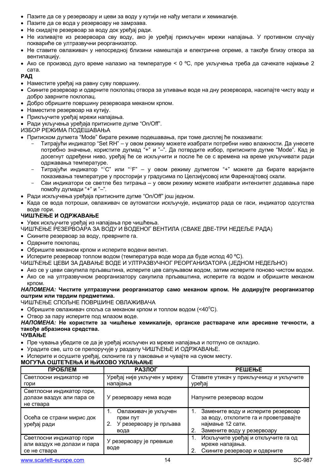- Пазите да се у резервоару и цеви за воду у кутији не нађу метали и хемикалије.
- Пазите да се вода у резервоару не замрзава.
- Не скидајте резервоар за воду док уређај ради.
- Не изливајте из резервоара сву воду, ако је уређај прикључен мрежи напајања. У противном случају поквариће се ултразвучни реорганизатор.
- Не ставите овлаживач у непосредној близини намештаја и електричне опреме, а такође близу отвора за вентилацију.
- Ако се производ дуго време налазио на температуре < 0 °С, пре укључења треба да сачекате најмање 2 сата.

#### РАД

- Наместите уређај на равну суву површину.
- Скините резервоар и одврните поклопац отвора за уливање воде на дну резервоара, насипајте чисту воду и добро заврните поклопац.
- Добро обришите површину резервоара меканом крпом.
- Наместите резервоар на кутију.
- Прикључите урећај мрежи напајања.
- Ради укључења уређаја притисните дугме "On/Off".
- ИЗБОР РЕЖИМА ПОДЕШАВАЊА
- Притиском дугмета "Моde" бирате режиме подешавања, при томе дисплеі ће показивати:
	- Титрајући индикатор "Set RH" у овом режиму можете изабрати потребни ниво влажности. Да унесете потребно значење, користите дугмад "+" и "-". Да потврдите избор, притисните дугме "Mode". Кад је досегнут одређени ниво, уређај ће се искључити и после ће се с времена на време укључивати ради одржавања температуре.
	- Tитрајући индикатор "°С" или "°F" у овом режиму дугметом "+" можете да бирате варијанте показивања температуре у просторији у градусима по Целзијусовој или Фаренхајтовој скали.
	- Сви индикатори се светле без титрања у овом режиму можете изабрати интензитет додавања паре помоћу дугмади "+" и "-".
- Ради искључења уређаја притисните дугме "On/Off" још једном.
- Када се вода потроши, овлаживач се аутоматски искључује, индикатор рада се гаси, индикатор одсутства воде гори.

#### **ЧИШЋЕЊЕ И ОДРЖАВАЊЕ**

• Увек искључите уређај из напајања пре чишћења.

ЧИШЋЕЊЕ РЕЗЕРВОАРА ЗА ВОДУ И ВОДЕНОГ ВЕНТИЛА (СВАКЕ ДВЕ-ТРИ НЕДЕЉЕ РАДА)

- Скините резервоар за воду, преврните га.
- Одврните поклопац.
- Обришите меканом крпом и исперите водени вентил.

• Исперите резервоар топлом водом (температура воде мора да буде испод 40 °С).

ЧИШЋЕЊЕ ЦЕВИ ЗА ДАВАЊЕ ВОДЕ И УЛТРАЗВУЧНОГ РЕОРГАНИЗАТОРА (ЈЕДНОМ НЕДЕЉНО)

- Ако се у цеви сакупила пољавштина, исперите цев сапуњавом водом, затим исперите поново чистом водом,
- Ако се на ултразвучном реорганизатору сакупила прљавштина, исперите га водом и обришите меканом крпом.

#### НАПОМЕНА: Чистите ултразвучни реорганизатор само меканом крпом. Не додирујте реорганизатор **уштрим или тврдим предметима.**

ЧИШЋЕЊЕ СПОЉНЕ ПОВРШИНЕ ОВЛАЖИВАЧА

- Обришите овлаживач споља са меканом крпом и топлом водом  $(40^{\circ}C)$ .
- Отвор за пару исперите под млазом воде.

#### НАПОМЕНА: Не користите за чишћење хемикалије, органске раствараче или аресивне течности, а такоће абразиона средства.

#### **ЧУВАЊЕ**

- Пре чувања убедите се да је уређај искључен из мреже напајања и потпуно се охладио.
- Урадите све, што се препоручује у разделу ЧИШЋЕЊЕ И ОДРЖАВАЊЕ.

Исперите и осушите уређај, склоните га у паковање и чувајте на сувом месту.

#### **MOLYEA OUITE FELA U HUAXOBO VKUAHALE**

| <b>ПРОБЛЕМ</b>                                                          | РАЗЛОГ                                                             | РЕШЕЊЕ                                                                                                                              |
|-------------------------------------------------------------------------|--------------------------------------------------------------------|-------------------------------------------------------------------------------------------------------------------------------------|
| Светлосни индикатор не<br>гори                                          | Уређај није укључен у мрежу<br>напајања                            | Ставите утикач у прикључницу и укључите<br>уређај                                                                                   |
| Светлосни индикатор гори,<br>долази ваздух али пара се<br>не ствара     | У резервоару нема воде                                             | Напуните резервоар водом                                                                                                            |
| Осећа се страни мирис док<br>уређај ради                                | Овлаживач је укључен<br>први пут<br>У резервоару је прљава<br>вода | Замените воду и исперите резервоар<br>за воду, отклопите га и проветравајте<br>најмање 12 сати.<br>2.<br>Замените воду у резервоару |
| Светлосни индикатор гори<br>али ваздух не долази и пара<br>се не ствара | У резервоару је превише<br>воде                                    | Искључите уређај и откључите га од<br>мреже напајања.<br>Скините резервоар и одврните                                               |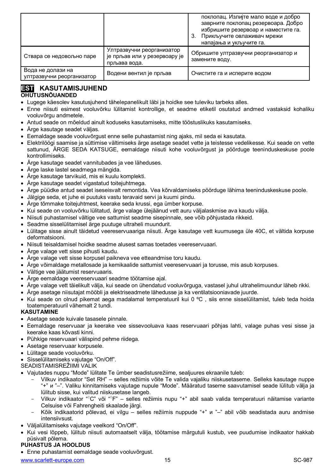|                                                |                                                                           | поклопац. Излијте мало воде и добро<br>заврните поклопац резервоара. Добро<br>избришите резервоар и наместите га.<br>З.<br>Прикључите овлаживач мрежи<br>напајања и укључите га. |
|------------------------------------------------|---------------------------------------------------------------------------|----------------------------------------------------------------------------------------------------------------------------------------------------------------------------------|
| Ствара се недовољно паре                       | Ултразвучни реорганизатор<br>је прљав или у резервоару је<br>прљава вода. | Обришите ултразвучни реорганизатор и<br>замените воду.                                                                                                                           |
| Вода не долази на<br>ултразвучни реорганизатор | Водени вентил је прљав                                                    | Очистите га и исперите водом                                                                                                                                                     |

#### **EST KASUTAMISJUHEND OHUTUSNÕUANDED**

- · Lugege käesolev kasutusjuhend tähelepanelikult läbi ja hoidke see tuleviku tarbeks alles.
- · Enne niisuti esimest vooluvõrku lülitamist kontrollige, et seadme etiketil osutatud andmed vastaksid kohaliku vooluvõrgu andmetele.
- · Antud seade on mõeldud ainult koduseks kasutamiseks, mitte tööstuslikuks kasutamiseks.
- · Ärge kasutage seadet väljas.
- · Eemaldage seade vooluvõrgust enne selle puhastamist ning ajaks, mil seda ei kasutata.
- · Elektrilöögi saamise ja süttimise vältimiseks ärge asetage seadet vette ja teistesse vedelikesse. Kui seade on vette sattunud, ÄRGE SEDA KATSUGE, eemaldage niisuti kohe vooluvõrgust ja pöörduge teeninduskeskuse poole kontrollimiseks.
- · Ärge kasutage seadet vannitubades ja vee läheduses.
- · Ärge laske lastel seadmega mängida.
- · Ärge kasutage tarvikuid, mis ei kuulu komplekti.
- · Ärge kasutage seadet vigastatud toitejuhtmega.
- · Ärge püüdke antud seadet iseseisvalt remontida. Vea kõrvaldamiseks pöörduge lähima teeninduskeskuse poole.
- · Jälgige seda, et juhe ei puutuks vastu teravaid servi ja kuumi pindu.
- · Ärge tõmmake toitejuhtmest, keerake seda krussi, ega ümber korpuse.
- · Kui seade on vooluvõrku lülitatud, ärge valage ülejäänud vett auru väljalaskmise ava kaudu välja.
- · Niisuti puhastamisel vältige vee sattumist seadme sisepinnale, see võib põhjustada rikkeid.
- · Seadme sisselülitamisel ärge puutuge ultraheli muundurit.
- · Lülitage sisse ainult täidetud veereservuaariga niisuti. Ärge kasutage vett kuumusega üle 40C, et vältida korpuse deformatsiooni.
- · Niisuti teisaldamisel hoidke seadme alusest samas toetades veereservuaari.
- · Ärge valage vett sisse pihusti kaudu.
- · Ärge valage vett sisse korpusel paikneva vee etteandmise toru kaudu.
- · Ärge võimaldage metallosade ja kemikaalide sattumist veereservuaari ja torusse, mis asub korpuses.
- · Vältige vee jäätumist reservuaaris.
- · Ärge eemaldage veereservuaari seadme töötamise ajal.
- · Ärge valage vett täielikult välja, kui seade on ühendatud vooluvõrguga, vastasel juhul ultrahelimuundur läheb rikki.
- · Ärge asetage niisutajat mööbli ja elektriseadmete lähedusse ja ka ventilatsiooniavade juurde.
- · Kui seade on olnud pikemat aega madalamal temperatuuril kui 0 ºC , siis enne sisselülitamist, tuleb teda hoida toatemperatuuril vähemalt 2 tundi.

#### **KASUTAMINE**

- · Asetage seade kuivale tasasele pinnale.
- · Eemaldage reservuaar ja keerake vee sissevooluava kaas reservuaari põhjas lahti, valage puhas vesi sisse ja keerake kaas kõvasti kinni.
- · Pühkige reservuaari välispind pehme riidega.
- · Asetage reservuaar korpusele.
- · Lülitage seade vooluvõrku.
- Sisselülitamiseks vajutage "On/Off".
- SEADISTAMISREäIIMI VALIK
- Vajutades nuppu "Mode" lülitate Te ümber seadistusrežiime, sealjuures ekraanile tuleb:
	- Vilkuv indikaator "Set RH" selles režiimis võite Te valida vajaliku niiskusetaseme. Selleks kasutage nuppe "+" u "-". Valiku kinnitamiseks vajutage nupule "Mode". Määratud taseme saavutamisel seade lülitub välja ja lülitub sisse, kui valitud niiskusetase langeb.
	- Vilkuv indikaator "°C" või "°F" selles režiimis nupu "+" abil saab valida temperatuuri näitamise variante Celsuise või Fahrengheiti skaalade järgi.
	- Kõik indikaatorid põlevad, ei vilgu selles režiimis nuppude "+" u "-" abil võib seadistada auru andmise intensiivsust.
- Väljalülitamiseks vajutage veelkord "On/Off".
- · Kui vesi lõppeb, lülitub niisuti automaatselt välja, töötamise märgutuli kustub, vee puudumise indikaator hakkab püsivalt põlema.

#### **PUHASTUS JA HOOLDUS**

· Enne puhastamist eemaldage seade vooluvõrgust.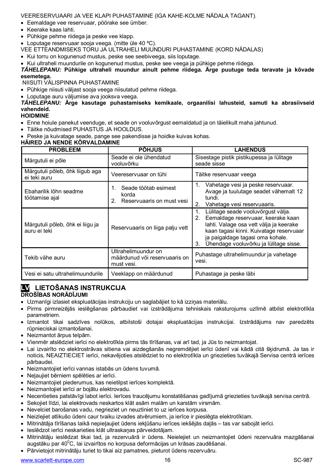#### VEERESERVUAARI JA VEE KLAPI PUHASTAMINE (IGA KAHE-KOLME NÄDALA TAGANT).

- · Eemaldage vee reservuaar, pöörake see ümber.
- · Keerake kaas lahti.
- · Pühkige pehme riidega ja peske vee klapp.
- · Loputage reservuaar sooja veega. (mitte üle 40 ºC).
- VEE ETTEANDMISEKS TORU JA ULTRAHELI MUUNDURI PUHASTAMINE (KORD NÄDALAS)
- · Kui torru on kogunenud mustus, peske see seebiveega, siis loputage.
- · Kui ultraheli muundurile on kogunenud mustus, peske see veega ja pühkige pehme riidega.

*TÄHELEPANU:* **Pühkige ultraheli muundur ainult pehme riidega. Ärge puutuge teda teravate ja kõvade esemetega.**

#### NIISUTI VÄLISPINNA PUHASTAMINE

- · Pühkige niisuti väljast sooja veega niisutatud pehme riidega.
- · Loputage auru väljumise ava jooksva veega.

#### *TÄHELEPANU:* **Ärge kasutage puhastamiseks kemikaale, orgaanilisi lahusteid, samuti ka abrasiivseid vahendeid.**

#### **HOIDMINE**

- · Enne hoiule panekut veenduge, et seade on vooluvõrgust eemaldatud ja on täielikult maha jahtunud.
- · Täitke nõudmised PUHASTUS JA HOOLDUS.
- · Peske ja kuivatage seade, pange see pakendisse ja hoidke kuivas kohas.

#### **HÄIRED JA NENDE KÕRVALDAMINE**

| IAINLU JA NLNUL KURVALUAMINI                     |                                                                    |                                                                                                                                                                                                                                                          |  |
|--------------------------------------------------|--------------------------------------------------------------------|----------------------------------------------------------------------------------------------------------------------------------------------------------------------------------------------------------------------------------------------------------|--|
| <b>PROBLEEM</b>                                  | <b>PÕHJUS</b>                                                      | <b>LAHENDUS</b>                                                                                                                                                                                                                                          |  |
| Märgutuli ei põle                                | Seade ei ole ühendatud<br>vooluvõrku                               | Sisestage pistik pistikupessa ja lülitage<br>seade sisse                                                                                                                                                                                                 |  |
| Märgutuli põleb, õhk liigub aga<br>ei teki auru  | Veereservuaar on tühi                                              | Täitke reservuaar veega                                                                                                                                                                                                                                  |  |
| Ebaharilik lõhn seadme<br>töötamise ajal         | Seade töötab esimest<br>korda<br>Reservuaaris on must vesi<br>2.   | Vahetage vesi ja peske reservuaar.<br>1.<br>Avage ja tuulutage seadet vähemalt 12<br>tundi.<br>2.<br>Vahetage vesi reservuaaris.                                                                                                                         |  |
| Märgutuli põleb, õhk ei liigu ja<br>auru ei teki | Reservuaaris on liiga palju vett                                   | Lülitage seade vooluvõrgust välja.<br>Eemaldage reservuaar, keerake kaan<br>2.<br>lahti. Valage osa vett välja ja keerake<br>kaan tagasi kinni. Kuivatage reservuaar<br>ja paigaldage tagasi oma kohale.<br>Ühendage vooluvõrku ja lülitage sisse.<br>3. |  |
| Tekib vähe auru                                  | Ultrahelimuundur on<br>määrdunud või reservuaaris on<br>must vesi. | Puhastage ultrahelimuundur ja vahetage<br>vesi.                                                                                                                                                                                                          |  |
| Vesi ei satu ultrahelimuundurile                 | Veeklapp on määrdunud                                              | Puhastage ja peske läbi                                                                                                                                                                                                                                  |  |

#### **LV LIETOâANAS INSTRUKCIJA DROâƮBAS NORƖ'ƮJUMI**

- Uzmanīgi izlasiet ekspluatācijas instrukciju un saglabājiet to kā izziņas materiālu.
- Pirms pirmreizējās ieslēgšanas pārbaudiet vai izstrādājuma tehniskais raksturojums uzlīmē atbilst elektrotīkla parametriem.
- · Izmantot tikai sadzīves nolūkos, atbilstoši dotajai ekspluatācijas instrukcijai. Izstrādājums nav paredzēts rūpnieciskai izmantošanai.
- Neizmantot ārpus telpām.
- Vienmēr atslēdziet ierīci no elektrotīkla pirms tās tīrīšanas, vai arī tad, ja Jūs to neizmantojat.
- Lai izvairīto no elektrostrāvas sitiena vai aizdegšanās negremdējiet ierīci ūdenī vai kādā citā škidrumā. Ja tas ir noticis, NEAIZTIECIET ierīci, nekavējoties atslēdziet to no elektrotīkla un griezieties tuvākajā Servisa centrā ierīces pārbaudei.
- Neizmantojiet ierīci vannas istabās un ūdens tuvumā.
- Neļaujiet bērniem spēlēties ar ierīci.
- Neizmantojiet piederumus, kas neietilpst ierīces komplektā.
- Neizmantojiet ierīci ar bojātu elektrovadu.
- Necentieties patstāvīgi labot ierīci. Ierīces traucējumu konstatēšanas gadījumā griezieties tuvākajā servisa centrā.
- Sekojiet līdzi, lai elektrovads neskartos klāt asām malām un karstām virsmām.
- Nevelciet barošanas vadu, negrieziet un neuztiniet to uz ierīces korpusa.
- Neizlejiet atlikušo ūdeni caur tvaiku izvades atvērumiem, ja ierīce ir pieslēgta elektrotīklam.
- Mitrinātāja tīrīšanas laikā nepieļaujiet ūdens iekļūšanu ierīces iekšējās daļās tas var sabojāt ierīci.
- leslēdzot ierīci neskarieties klāt ultraskaņas pārveidotājam.
- Mitrinātāju ieslēdzat tikai tad, ja rezervuārā ir ūdens. Neielejiet un neizmantojiet ūdeni rezervuāra mazgāšanai augstāku par 40 $\mathrm{^0C}$ , lai izvairītos no korpusa deformācijas un krāsas zaudēšanai.
- Pārvietojot mitrinātāju turiet to tikai aiz pamatnes, pieturot ūdens rezervuāru.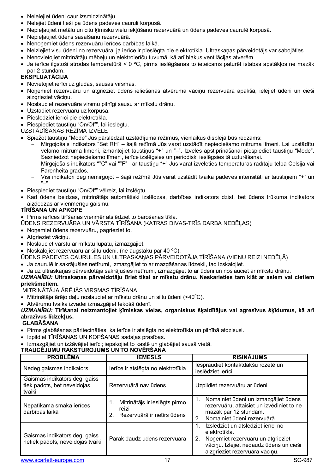- Neielejiet ūdeni caur izsmidzinātāju.
- Nelejiet ūdeni tieši pa ūdens padeves cauruli korpusā.
- Nepielaujiet metālu un citu kīmisku vielu iekļūšanu rezervuārā un ūdens padeves caurulē korpusā.
- Nepielaujiet ūdens sasalšanu rezervuārā.
- Nenoņemiet ūdens rezervuāru ierīces darbības laikā.
- Neizlejiet visu ūdeni no rezervuāra, ja ierīce ir pieslēgta pie elektrotīkla. Ultraskaņas pārveidotājs var sabojāties.
- · Nenovietojiet mitrinātāju mēbeļu un elektroierīču tuvumā, kā arī blakus ventilācijas atverēm.
- Ja ierīce ilgstoši atrodas temperatūrā < 0 °C, pirms ieslēgšanas to ieteicams paturēt istabas apstākļos ne mazāk par 2 stundam.

#### **EKSPLUATƖCIJA**

- Novietojiet ierīci uz gludas, sausas virsmas.
- · Nonemiet rezervuāru un atgrieziet ūdens ieliešanas atvēruma vāciņu rezervuāra apakšā, ielejiet ūdeni un cieši aizgrieziet vācinu.
- Noslauciet rezervuāra virsmu pilnīgi sausu ar mīkstu drānu.
- · Uzstādiet rezervuāru uz korpusa.
- · Pieslēdziet ierīci pie elektrotīkla.
- Piespiediet taustinu "On/Off", lai ieslēgtu.

UZSTĀDĪŠANAS REŽĪMA IZVĒLE

- · Spiežot taustiņu "Mode" Jūs pārslēdzat uzstādījuma režīmus, vienlaikus displejā būs redzams:
	- Mirgojošais indikators "Set RH" šajā režīmā Jūs varat uzstādīt nepieciešamo mitruma līmeni. Lai uzstādītu vēlamo mitruma līmeni, izmantojiet taustiņus "+" un "-". Izvēles apstiprināšanai piespiediet taustiņu "Mode". Sasniedzot nepieciešamo līmeni, ierīce izslēgsies un periodiski ieslēgsies tā uzturēšanai.
	- Mirgojošais indikators "<sup>o</sup>C" vai "<sup>o</sup>F" –ar taustiņu "+" Jūs varat izvēlēties temperatūras rādītāju telpā Celsija vai Fārenheita grādos.
	- Visi indikatori deg nemirgojot šajā režīmā Jūs varat uzstādīt tvaika padeves intensitāti ar taustiniem "+" un  $, \cdot, \cdot$
- Piespiediet taustinu "On/Off" vēlreiz, lai izslēgtu.
- Kad ūdens beidzas, mitrinātājs automātiski izslēdzas, darbības indikators dzist, bet ūdens trūkuma indikators aizdedzas ar vienmērīgu gaismu.

#### **7Ʈ5ƮâANA UN APKOPE**

• Pirms ierīces tīrīšanas vienmēr atslēdziet to barošanas tīkla.

ŪDENS REZERVUĀRA UN VĀRSTA TĪRĪŠANA (KATRAS DIVAS-TRĪS DARBA NEDĒĻAS)

- Noņemiet ūdens rezervuāru, pagrieziet to.
- Atgrieziet vāciņu.
- · Noslauciet vārstu ar mīkstu lupatu, izmazgājiet.
- · Noskalojiet rezervuāru ar siltu ūdeni. (ne augstāku par 40 °C).

ŪDENS PADEVES CAURULES UN ULTRASKAŅAS PĀRVEIDOTĀJA TĪRĪŠANA (VIENU REIZI NEDĒĻĀ)

- · Ja caurulē ir sakrājušies netīrumi, izmazgājiet to ar mazgāšanas līdzekli, tad izskalojiet.
- Ja uz ultraskanas pārveidotāja sakrājušies netīrumi, izmazgājiet to ar ūdeni un noslauciet ar mīkstu drānu.

UZMANĪBU: Ultraskaņas pārveidotāju tīriet tikai ar mīkstu drānu. Neskarieties tam klāt ar asiem vai cietiem **priekãmetiem.**

MITRINĀTĀJA ĀRĒJĀS VIRSMAS TĪRĪŠANA

- Mitrinātāja ārējo daļu noslauciet ar mīkstu drānu un siltu ūdeni (<40 $^{\circ}$ C).
- · Atvērumu tvaika izvadei izmazgājiet tekošā ūdenī.

UZMANĪBU: Tīrīšanai neizmantojiet ķīmiskas vielas, organiskus šķaidītājus vai agresīvus šķīdumus, kā arī  $a$ **braz***vus* l*I***dzeklus.** 

#### **GLABƖâANA**

- · Pirms glabāšanas pārliecināties, ka ierīce ir atslēgta no elektrotīkla un pilnībā atdzisusi.
- · Izpildiet TĪRĪŠANAS UN KOPŠANAS sadaļas prasības.
- Izmazgājiet un izžāvējiet ierīci; iepakojiet to kastē un glabājiet sausā vietā.

#### **TRAUCƜJUMU RAKSTUROJUMS UN TO NOVƜ5âANA**

| <b>PROBLEMA</b>                                                        | <b>IEMESLS</b>                                                                   | <b>RISINĀJUMS</b>                                                                                                                                                           |
|------------------------------------------------------------------------|----------------------------------------------------------------------------------|-----------------------------------------------------------------------------------------------------------------------------------------------------------------------------|
| Nedeg gaismas indikators                                               | lerīce ir atslēgta no elektrotīkla                                               | lespraudiet kontaktdakšu rozetē un<br>iesledziet ierīci                                                                                                                     |
| Gaismas indikators deg, gaiss<br>tiek padots, bet neveidojas<br>tvaiki | Rezervuārā nav ūdens                                                             | Uzpildiet rezervuāru ar ūdeni                                                                                                                                               |
| Nepatīkama smaka ierīces<br>darbības laikā                             | Mitrinātājs ir ieslēgts pirmo<br>1.<br>reizi<br>Rezervuārā ir netīrs ūdens<br>2. | Nomainiet ūdeni un izmazgājiet ūdens<br>rezervuāru, attaisiet un izvēdiniet to ne<br>mazāk par 12 stundām.<br>Nomainiet ūdeni rezervuārā.<br>$2_{-}$                        |
| Gaismas indikators deg, gaiss<br>netiek padots, neveidojas tvaiki      | Pārāk daudz ūdens rezervuārā                                                     | Izslēdziet un atslēdziet ierīci no<br>elektrotīkla.<br>Nonemiet rezervuāru un atgrieziet<br>2.<br>vāciņu. Izlejiet nedaudz ūdens un cieši<br>aizgrieziet rezervuāra vāciņu. |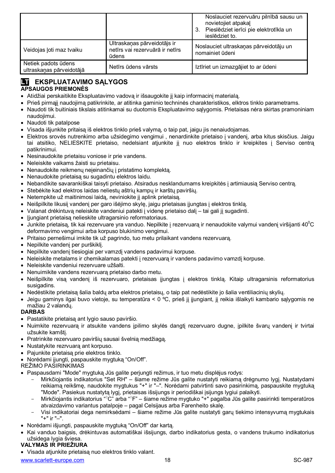|                                                 |                                                                         | Noslauciet rezervuāru pilnībā sausu un<br>novietojiet atpakal<br>Pieslēdziet ierīci pie elektrotīkla un<br>3.<br>ieslēdziet to. |
|-------------------------------------------------|-------------------------------------------------------------------------|---------------------------------------------------------------------------------------------------------------------------------|
| Veidojas ļoti maz tvaiku                        | Ultraskaņas pārveidotājs ir<br>netīrs vai rezervuārā ir netīrs<br>ūdens | Noslauciet ultraskaņas pārveidotāju un<br>nomainiet ūdeni                                                                       |
| Netiek padots ūdens<br>ultraskaņas pārveidotājā | Netīrs ūdens vārsts                                                     | Iztīriet un izmazgājiet to ar ūdeni                                                                                             |

## **LT EKSPLUATAVIMO SĄLYGOS**

#### $\overline{AP}$ SAUGOS PRIEMONĖS

- · Atidžiai perskaitikite Ekspluatavimo vadovą ir išsaugokite jį kaip informacinį materialą.
- Prieš pirmąjį naudojimą patikrinkite, ar atitinka gaminio techninės charakteristikos, elktros tinklo parametrams.
- · Naudoti tik buitiniais tikslais atitinkamai su duotomis Ekspluatavimo sąlygomis. Prietaisas nėra skirtas pramoniniam naudojimui.
- · Naudoti tik patalpose
- · Visada iãjunkite pritaisą iã elektros tinklo prieã valymą, o taip pat, jaigu jis nenaiudojamas.
- Elektros srovės nutrenkimo arba užsidegimo vengimui, nenardinkite prietaiso į vandenį, arba kitus skisčius. Jaigu tai atsitiko, NELIESKITE prietaiso, nedelsiant atjunkite jį nuo elektros tinklo ir kreipkites į Serviso centrą patikrinimui.
- · Nesinaudokite prietaisu voniose ir prie vandens.
- · Neleiskite vaikams åaisti su prietaisu.
- Nenaudokite reikmenų neieinančių į pristatimo komplektą.
- · Nenaudokite prietaisą su sugadintu elektros laidu.
- · Nebandikite savarankiškai taisyti prietaiso. Atsiradus nesklandumams kreipkitės į artimiausią Serviso centrą.
- Stebėkite kad elektros laidas neliestų aštrių kampų ir karštų paviršių.
- Netempkite už maitinimosi laidą, neviniokite ji aplink prietaisą.
- Neišpilkite likusij vandenį per garo išėjimo skylę, jaigu prietaisas jiungtas į elektros tinklą.
- Valanat drėkintuvą neleiskite vandeniui patekti į videne prietaiso dalį tai gali jį sugadinti.
- · ljungiant prietaisa nelieskite ultragarsinio reformatoriaus.
- Junkite prietaisa, tik kai rezervuare yra vanduo. Nepilkite į rezervuarą ir nenaudokite valymui vandenį viršijanti 40 $\rm{^{\circ}C}$ deformavimo vengimui arba korpuso blukinimo vengimui.
- · Pritaiso perneãimui imkite tik uå pagrindo, tuo metu prilaikant vandens rezervuarą.
- Nepilkite vandeni per purškikli.
- Nepilkite vandenį tiesiogiai per vamzdį vandens padavimui korpuse.
- Neleiskite metalams ir chemikalamas patekti į rezervuarą ir vandens padavimo vamzdi korpuse.
- · Neleiskite vandeniui rezervuare uåãalti.
- · Nenuimikite vandens rezervuarą prietaiso darbo metu.
- · Neišpilkite visą vandenį iš rezervuaro, prietaisas įjungtas į elektros tinklą. Kitaip ultragarsinis reformatorius susigadins.
- Nedėstikite prietaisą šalia baldų arba elektros prietaisų, o taip pat nedėstikite jo šalia ventiliacinių skylių.
- Jeigu gaminys ilgai buvo vietoje, su temperatūra < 0 °C, prieš jį įjungiant, jį reikia išlaikyti kambario sąlygomis ne mažiau 2 valandų.

#### **DARBAS**

- · Pastatikite prietaisą ant lygio sauso pavirãio.
- · Nuimkite rezervuarą ir atsukite vandens įpilimo skylės dangtį rezervuaro dugne, įpilkite švarų vandenį ir tvirtai užsukite kamštį.
- Pratrinkite rezervuaro paviršių sausai švelnią medžiagą.
- · Nustatykite rezrvuarą ant korpuso.
- Pajunkite prietaisą prie elektros tinklo.
- Norėdami įjungti, paspauskite mygtuką "On/Off".
- REäIMO PASIRINKIMAS
- · Paspausdami "Mode" mygtuką Jūs galite perjungti režimus, ir tuo metu displėjus rodys:
	- Mirkčiojantis indikatorius "Set RH" šiame režime Jūs galite nustatyti reikiamą drėgnumo lygį. Nustatydami reikiamą reikšmę, naudokite mygtukus "+" ir "-". Norėdami patvirtinti savo pasirinkimą, paspauskite mygtuką "Mode". Pasiekus nustatyta lygi, prietaisas išsijungs ir periodiškai įsijungs lygiui palaikyti.
	- Mirkčiojantis indikatorius "°C" arba "°F" šiame režime mygtuko "+" pagalba Jūs galite pasirinkti temperatūros atvaizdavimo variantus patalpoje - pagal Celsijaus arba Farenheito skalę.
	- Visi indikatoriai dega nemirksėdami šiame režime Jūs galite nustatyti garų tiekimo intensyvumą mygtukais "+" ir "±".
- Norėdami išjungti, paspauskite mygtuką "On/Off" dar kartą.
- Kai vanduo baigsis, drėkintuvas automatiškai išsijungs, darbo indikatorius gesta, o vandens trukumo indikatorius užsidega lygia šviesa.

#### **VALYMAS IR PRIEäIURA**

· Visada atjunkite prietaisą nuo elektros tinklo valant.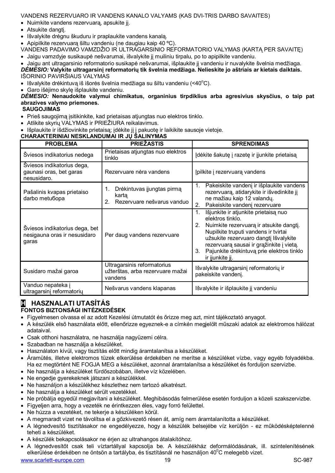#### VANDENS REZERVUARO IR VANDENS KANALO VALYAMS (KAS DVI-TRIS DARBO SAVAITES)

- $\bullet$  Nuimkite vandens rezervuara, apsukite ji.
- Atsukite dangti.
- · Išvalykite drėgnu škuduru ir praplaukite vandens kanalą.
- · Apipilkite rezervuarą šiltu vandeniu (ne daugiau kaip 40 °C).

VANDENS PADAVIMO VAMZDŽIO IR ULTRAGARSINIO REFORMATORIO VALYMAS (KARTĄ PER SAVAITĘ) • Jaigu vamzdyje susikaupė nešvarumai, išvalykite ji muiliniu tirpalu, po to apipilkite vandeniu.

Jaigu ant ultragarsinio reformatorio susikapė nešvarumai, išplaukite ji vandeniu ir nuvalykite švelnia medžiaga.

 $DEMESIO:$  Valykite ultragarsinį reformatorių tik švelnia medžiaga. Nelieskite jo aštriais ar kietais daiktais. IŠORINIO PAVIRŠIAUS VALYMAS

- Išvalykite drėkintuvą iš išorės švelnia medžiaga su šiltu vandeniu (<40 $^{\circ}$ C).
- Garo išėjimo skyle išplaukite vandeniu.

#### *'ƠMESIO:* **Nenaudokite valymui chimikatus, organinius tirpdiklius arba agresivius skysþius, o taip pat abrazives valymo priemones.**

#### **SAUGOJIMAS**

- Prieš saugojimą įsitikinkite, kad prietaisas atjungtas nuo elektros tinklo.
- Atlikite skyrių VALYMAS ir PRIEŽIURA reikalavimus.
- · Išplaukite ir išdžiovinkite prietaisą; įdėkite jį į pakuotę ir laikikite sausoje vietoje. **CHARAKTERINIAI NESKLANDUMAI IR JǏâALINYMAS**

| <b>PROBLEMA</b>                                                         | <b>PRIEŽASTIS</b>                                                             | <b>SPRENDIMAS</b>                                                                                                                                                                                                                                                                                                  |
|-------------------------------------------------------------------------|-------------------------------------------------------------------------------|--------------------------------------------------------------------------------------------------------------------------------------------------------------------------------------------------------------------------------------------------------------------------------------------------------------------|
| Šviesos indikatorius nedega                                             | Prietaisas atjungtas nuo elektros<br>tinklo                                   | dėkite šakutę į razetę ir įjunkite prietaisą                                                                                                                                                                                                                                                                       |
| Šviesos indikatorius dega,<br>gaunasi oras, bet garas<br>nesusidaro.    | Rezervuare nėra vandens                                                       | pilkite į rezervuarą vandens                                                                                                                                                                                                                                                                                       |
| Pašalinis kvapas prietaiso<br>darbo metuõopa                            | 1.<br>Drėkintuvas įjungtas pirmą<br>karta<br>2.<br>Rezervuare nešvarus vanduo | Pakeiskite vandenį ir išplaukite vandens<br>1.<br>rezervuarą, atidarykite ir išvedinkite jį<br>ne mažiau kaip 12 valandų.<br>Pakeiskite vandenj rezervuare<br>2.                                                                                                                                                   |
| Šviesos indikatorius dega, bet<br>nesigauna oras ir nesusidaro<br>garas | Per daug vandens rezervuare                                                   | Išjunkite ir atjunkite prietaisą nuo<br>1.<br>elektros tinklo.<br>Nuimkite rezervuarą ir atsukite dangtį.<br>2.<br>Nupilkite truputi vandens ir tvirtai<br>užsukite rezervuaro dangtį Išvalykite<br>rezervuarą sausai ir grąžinkite į vietą.<br>Pajunkite drėkintuvą prie elektros tinklo<br>3.<br>ir jjunkite jj. |
| Susidaro mažai garoa                                                    | Ultragarsinis reformatorius<br>užterštas, arba rezervuare mažai<br>vandens    | Išvalykite ultragarsinį reformatorių ir<br>pakeiskite vandenj.                                                                                                                                                                                                                                                     |
| Vanduo nepateka į<br>ultragarsinį reformatorių                          | Nešvarus vandens klapanas                                                     | Išvalykite ir išplaukite jį vandeniu                                                                                                                                                                                                                                                                               |

#### **H HASZNALATI UTASÍTÁS FONTOS BIZTONSÁGI INTÉZKEDÉSEK**

- Figyelmesen olvassa el az adott Kezelési útmutatót és őrizze meg azt, mint tájékoztató anyagot.
- A készülék első használata előtt, ellenőrizze egyeznek-e a címkén megjelölt műszaki adatok az elektromos hálózat adataival.
- · Csak otthoni használatra, ne használja nagyüzemi célra.
- · Szabadban ne használja a készüléket.
- Használaton kívül, vagy tisztítás előtt mindig áramtalanítsa a készüléket.
- · Áramütés, illetve elektromos tüzek elkerülése érdekében ne merítse a készüléket vízbe, vagy egyéb folyadékba. Ha ez megtörtént NE FOGJA MEG a készüléket, azonnal áramtalanítsa a készüléket és forduljon szervizbe.
- · Ne használja a készüléket fürdőszobában, illetve víz közelében.
- · Ne engedje gyerekeknek játszani a készülékkel.
- · Ne használjon a készülékhez készlethez nem tartozó alkatrészt.
- · Ne használja a készüléket sérült vezetékkel.
- · Ne próbálja egyedül megjavítani a készüléket. Meghibásodás felmerülése esetén forduljon a közeli szakszervizbe.
- · Figyeljen arra, hogy a vezeték ne érintkezzen éles, vagy forró felülettel.
- · Ne húzza a vezetéket, ne tekerje a készüléken körül.
- A megmaradt vizet ne távolítsa el a gőzkivezető résen át, amíg nem áramtalanította a készüléket.
- A légnedvesítő tisztításakor ne engedélyezze, hogy a készülék belsejébe víz kerüljön ez működésképtelenné teheti a készüléket.
- · A készülék bekapcsolásakor ne érjen az ultrahangos átalakítóhoz.
- A légnedvesítőt csak teli víztartállyal kapcsolia be. A készülékház deformálódásának, ill. színtelenítésének elkerülése érdekében ne öntsön a tartályba, és tisztításnál ne használjon 40 $\rm{^0C}$  melegebb vizet.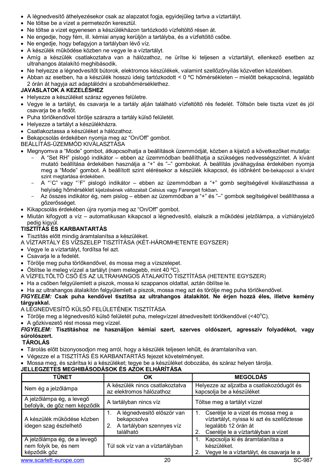- A légnedvesítő áthelyezésekor csak az alapzatot fogja, egyidejűleg tartva a víztartályt.
- Ne töltse be a vizet a permetezőn keresztül.
- · Ne töltse a vizet egyenesen a készülékházon tartózkodó vízfeltöltő résen át.
- · Ne engedje, hogy fém, ill. kémiai anyag kerüljön a tartályba, és a vízfeltöltő csőbe.
- Ne engedje, hogy befagyjon a tartályban lévő víz.
- A készülék működése közben ne vegye le a víztartályt.
- Amíg a készülék csatlakoztatva van a hálózathoz, ne ürítse ki teljesen a víztartályt, ellenkező esetben az ultrahangos átalakító meghibásodik.
- · Ne helyezze a légnedvesítőt bútorok, elektromos készülékek, valamint szellőzőnyílás közvetlen közelében.
- Abban az esetben, ha a készülék hosszú ideig tartózkodott < 0 °C hőmérsékleten mielőtt bekapcsolná, legalább 2 órán át hagyja azt adaptálódni a szobahőmérséklethez.

#### **JAVASLATOK A KEZELÉSHEZ**

- · Helyezze a készüléket száraz egyenes felületre.
- Vegye le a tartályt, és csavarja le a tartály alján található vízfeltöltő rés fedelét. Töltsön bele tiszta vizet és jól csavaria be a fedőt.
- Puha törlőkendővel törölje szárazra a tartály külső felületét.
- · Helyezze a tartályt a készülékházra.
- · Csatlakoztassa a készüléket a hálózathoz.

Bekapcsolás érdekében nyomja meg az "On/Off" gombot.

BEÁLLÍTÁS-ÜZEMMÓD KIVÁLASZTÁSA

- Megnyomya a "Mode" gombot, átkapcsolhatia a beállítások üzemmódiát, közben a kijelző a következőket mutatja:
	- A "Set RH" pislogó indikátor ebben az üzemmódban beállíthatja a szükséges nedvességszintet. A kívánt mutató beállítása érdekében használja a "+" és "-" gombokat. A beállítás jóváhagyása érdekében nyomja meg a "Mode" gombot. A beállított szint elérésekor a készülék kikapcsol, és időnként be-bekapcsol a kívánt szint megtartása érdekében.
	- A "<sup>o</sup>C" vagy "<sup>o</sup>F" pislogó indikátor ebben az üzemmódban a "+" gomb segítségével kiválaszthassa a helyiség hőmérséklet kijelzésének változatait Celsius vagy Farengeit fokban.
	- Az összes indikátor ég, nem pislog ebben az üzemmódban a "+" és "-" gombok segítségével beállíthassa a gőzerősséget.
- Kikapcsolás érdekében újra nyomia meg az "On/Off" gombot.
- Miután kifogyott a víz automatikusan kikapcsol a légnedvesítő, elalszik a működési jelzőlámpa, a vízhiányjelző pedig kigyúl.

#### **TISZTÍTÁS ÉS KARBANTARTÁS**

- Tisztítás előtt mindig áramtalanítsa a készüléket.
- A VÍZTARTÁLY ÉS VÍZSZELEP TISZTÍTÁSA (KÉT-HÁROMHETENTE EGYSZER)
- · Vegye le a víztartályt, fordítsa fel azt.
- · Csavarja le a fedelét.
- Törölie meg puha törlőkendővel, és mossa meg a vízszelepet.
- · Öblítse le meleg vízzel a tartályt (nem melegebb, mint 40 ºC).
- A VÍZFELTÖLTė CSė ÉS AZ ULTRAHANGOS ÁTALAKÍTÓ TISZTÍTÁSA (HETENTE EGYSZER)
- · Ha a csőben felgyülemlett a piszok, mossa ki szappanos oldattal, aztán öblítse le.
- Ha az ultrahangos átalakítón felgyülemlett a piszok, mossa meg azt és törölje meg puha törlőkendővel.

#### *FIGYELEM:* **Csak puha kendĘvel tisztítsa az ultrahangos átalakítót. Ne érjen hozzá éles, illetve kemény tárgyakkal.**

A LÉGNEDVESÍTė KÜLSė FELÜLETÉNEK TISZTÍTÁSA

- Törölje meg a légnedvesítő külső felületét puha, melegvízzel átnedvesített törlőkendővel (<40 $^{\circ}$ C).
- A gőzkivezető rést mossa meg vízzel.

*FIGYELEM:* **Tisztításhoz ne használjon kémiai szert, szerves oldószert, agresszív folyadékot, vagy súrolószert.**

#### **TÁROLÁS**

- Tárolás előtt bizonyosodjon meg arról, hogy a készülék teljesen lehűlt, és áramtalanítva van.
- · Végezze el a TISZTÍTÁS ÉS KARBANTARTÁS fejezet követelményeit.

#### · Mossa meg, és szárítsa ki a készüléket; tegye be a készüléket dobozába, és száraz helyen tárolja.

#### **JELLEGZETES MEGHIBÁSODÁSOK ÉS AZOK ELHÁRÍTÁSA**

| <b>TÜNET</b>                                                          | ΟK                                                                                        | <b>MEGOLDÁS</b>                                                                                                                                |
|-----------------------------------------------------------------------|-------------------------------------------------------------------------------------------|------------------------------------------------------------------------------------------------------------------------------------------------|
| Nem ég a jelzőlámpa                                                   | A készülék nincs csatlakoztatva<br>az elektromos hálózathoz                               | Helyezze az aljzatba a csatlakozódugót és<br>kapcsolja be a készüléket                                                                         |
| A jelzőlámpa ég, a levegő<br>befolyik, de gőz nem képződik            | A tartályban nincs víz                                                                    | Töltse meg a tartályt vízzel                                                                                                                   |
| A készülék működése közben<br>idegen szag észlelhető                  | A légnedvesítő először van<br>bekapcsolva<br>A tartályban szennyes víz<br>2.<br>található | Cserélje le a vizet és mossa meg a<br>víztartályt, nyissa ki azt és szellőztesse<br>legalább 12 órán át<br>Cserélje le a víztartályban a vizet |
| A jelzőlámpa ég, de a levegő<br>nem folyik be, és nem<br>képződik gőz | Túl sok víz van a víztartályban                                                           | Kapcsolja ki és áramtalanítsa a<br>készüléket.<br>Vegye le a víztartályt, és csavarja le a                                                     |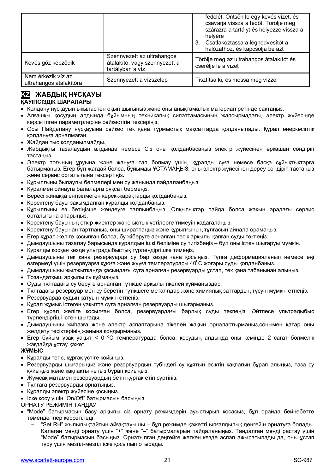|                                               |                                                                                  | fedelét. Öntsön le egy kevés vizet, és<br>csavarja vissza a fedőt. Törölje meg<br>szárazra a tartályt és helyezze vissza a<br>helvére<br>3. Csatlakoztassa a légnedvesítőt a<br>hálózathoz, és kapcsolja be azt |
|-----------------------------------------------|----------------------------------------------------------------------------------|-----------------------------------------------------------------------------------------------------------------------------------------------------------------------------------------------------------------|
| Kevés gőz képződik                            | Szennyezett az ultrahangos<br>átalakító, vagy szennyezett a<br>tartályban a víz. | Törölje meg az ultrahangos átalakítót és<br>cserélje le a vizet                                                                                                                                                 |
| Nem érkezik víz az<br>ultrahangos átalakítóra | Szennyezett a vízszelep                                                          | Tisztítsa ki, és mossa meg vízzel                                                                                                                                                                               |

#### **KZ ЖАБДЫК НҰСКАУЫ** КАУІПСІЗДІК ШАРАЛАРЫ

- Колдану нұсқауын ықыласпен оқып шығыңыз және оны анықтамалық материал ретінде сақтаңыз.
- Алғашқы қосудың алдында бұйымның техникалық сипаттамасының жапсырмадағы, электр жүйесінде көрсетілген параметрлеріне сәйкестігін тексеріңіз.
- Осы Пайдалану нұсқауына сәйкес тек қана тұрмыстық мақсаттарда қолданылады. Құрал өнеркәсіптік колдануға арналмаған.
- Жайдан тыс қолданылмайды.
- Жабдықты тазалаудың алдында немесе Сіз оны қолданбасаңыз электр жүйесінен әрқашан сөндіріп тастаңыз.
- Электр тоғының ұруына және жануға тап болмау үшін, құралды суға немесе басқа сұйықтықтарға батырмаңыз. Егер бұл жағдай болса, бұйымды ҰСТАМАҢЫЗ, оны электр жүйесінен дереу сөндіріп тастаңыз және сервис орталығына тексертіңіз.
- Курылғыны былаулы бөлмелері мен су жанында пайдаланбаңыз.
- Куралмен ойнауға балаларға руксат берменіз.
- Бересі жинаққа енгізілмеген керек-жарақтарды қолданбаңыз.
- Коректену бауы зақымдалған құралды қолданбаңыз.
- Курылғыны өз бетінізше жөндеуге талпынбаныз. Олкылыктар пайда болса жақын арадағы сервис орталығына апарыңыз.
- Қоректену бауының өткір жиектер және ыстық үстілерге тимеуін қадағалаңыз.
- Коректену бауынан тартпаңыз, оны ширатпаңыз және құрылғының тұлғасын айнала орамаңыз.
- Егер курал желіге қосылған болса, бу жіберуге арналған тесік арқылы қалған суды төкпеніз.
- Дымдаушыны тазалау барысында куралдың ішкі бөліміне су тигізбеніз бул оны істен шығаруы мумкін.
- Куралды қосқан кезде ультрадыбыстық түрлендіргішке тимеңіз.
- Дымдаушыны тек кана резервуарда су бар кезде ғана косыныз. Тулға деформацияланып немесе өні өзгермеуі үшін резервуарға құюға және жүуға температурасы 40<sup>0</sup>С жоғары суды қолданбаныз.
- Дымдаушыны жылжытқанда қасындағы суға арналған резервуарды ұстап, тек қана табанынан алыңыз.
- Тозаңдатқыш арқылы су құймаңыз.
- Суды тұлғадағы су беруге арналған түтікше арқылы тікелей құймаңыздар.
- Тұлғадағы резервуар мен су беретін түтікшеге металлдар және химиялық заттардың түсуін мүмкін етпеңіз.
- Резервуарда судың қатуын мүмкін етпеңіз.
- Курал жумыс істеген уақытта суға арналған резервуарды шығармаңыз.
- Егер құрал желіге қосылған болса, резервуардағы барлық суды төкпеніз. Әйтпесе ультрадыбыс түрлендіргіші істен шығады.
- Дымдаушыны жиһазға және электр аспаптарына тікелей жақын орналастырмаңыз,сонымен қатар оны желдету тесіктерінің жанына қондырмаңыз.
- Егер бұйым ұзақ уақыт < 0 °С температурада болса, қосудың алдында оны кемінде 2 сағат бөлмелік жағдайда ұстау қажет.

#### Ж¥МЫС

- Құралды тегіс, құрғақ үстіге қойыңыз.
- Резервуарды шығарыңыз және резервуардың түбіндегі су құятын есіктің қақпағын бұрап алыңыз, таза су куйыңыз және қақпақты нығыз бурап қойыңыз.
- Жұмсақ матамен резервуардың бетін құрғақ етіп сүртіңіз.
- Тулғаға резервуарды орнатыныз.
- Куралды электр жүйесіне қосыңыз.
- Iске косу ушін "On/Off" батырмасын басыңыз.
- ОРНАТУ РЕЖИМІН ТАНДАУ
- <sup>и</sup> Моde" батырмасын басу аркылы сіз орнату режимдерін ауыстырып қосасыз, бұл орайда бейнебетте төмендегілер көрсетіледі:
	- "Set RH" жыпылықтайтын айғақтауышы бұл режимде қажетті ылғалдылық деңгейін орнатуға болады. Қалаған мәнді орнату үшін "+" және "- батырмаларын пайдаланыңыз. Таңдалған мәнді растау үшін "Моde" батырмасын басыңыз. Орнатылған деңгейге жеткен кезде аспап ажыратылады да, оны ұстап тұру үшін мезгіл-мезгіл іске қосылып отырады.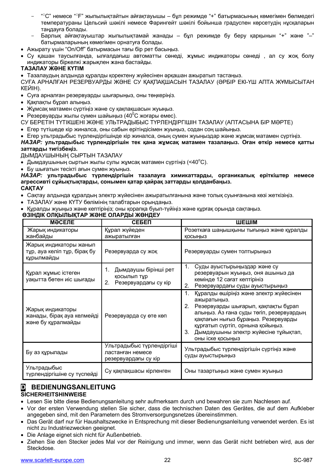- "<sup>о</sup>С" немесе "<sup>о</sup> F" жыпылықтайтын айғақтауышы бұл режимде "+" батырмасының көмегімен бөлмедегі температураны Цельсий шәкілі немесе Фарингейт шәкілі бойынша градуспен көрсетудің нұсқаларын тандауға болады.
- Барлық айғақтауыштар жыпылықтамай жанады бұл режимде бу беру қарқынын "+" және "-" батырмаларының көмегімен орнатуға болады.
- Ажырату үшін "On/Off" батырмасын тағы бір рет басыңыз.
- Су қашан таусылғанда, ылғалдағыш автоматты сөнеді, жұмыс индикаторы сөнеді, ал су жоқ болу индикаторы біркелкі жарықпен жана бастайды.

#### **ТАЗАЛАУ ЖӘНЕ КҮТІМ**

• Тазалаудың алдында құралды қоректену жүйесінен әрқашан ажыратып тастаңыз.

СУҒА АРНАЛҒАН РЕЗЕРВУАРДЫ ЖӘНЕ СУ КАКПАКШАСЫН ТАЗАЛАУ (ӘРБІР ЕКІ-ҮШ АПТА ЖҰМЫСЫТАН КЕЙІН).

- Суға арналған резервуарды шығарыңыз, оны төңкеріңіз.
- Какпакты бурап алыныз.
- Жұмсақ матамен сүртіңіз және сү қақпақшасын жүыңыз.
- Резервуарды жылы сумен шайыңыз  $(40^{\circ}$ С жоғары емес).
- СУ БЕРЕТІН ТҮТІКШЕНІ ЖӘНЕ УЛЬТРАДЫБЫС ТҮРЛЕНДІРГІШІН ТАЗАЛАУ (АПТАСЫНА БІР МӘРТЕ)
- Егер түтішеде кір жиналса, оны сабын ерітіндісімен жүыңыз, содан соң шайыңыз.
- Егер ультрадыбыс турлендіргішінде кір жиналса, онын сумен жуыныздар және жумсак матамен суртініз.

НАЗАР: ультрадыбыс түрлендіргішін тек қана жұмсақ матамен тазалаңыз. Оған өткір немесе қатты заттарды тигізбеңіз.

ДЫМДАУШЫНЫҢ СЫРТЫН ТАЗАЛАУ

- Дымдаушының сыртын жылы сулы жұмсақ матамен суртіңіз  $($ <40 $\rm ^{o}C$ ).
- Бу шығатын тесікті ағын сумен жуыңыз.

НАЗАР: ультрадыбыс түрлендіргішін тазалауға химикаттарды, органикалық еріткіштер немесе **ɚɝɪɟɫɫɢɜɬɿɫԝɣɵԕɬɵԕɬɚɪɞɵ, ɫɨɧɵɦɟɧԕɚɬɚɪԕɚɣɪɚԕɡɚɬɬɚɪɞɵԕɨɥɞɚɧɛɚԙɵɡ. CAKTAY** 

- Сактау алдында куралдың электр жүйесінен ажыратылғанына және толык суынғанына көзі жеткізініз.
- ТАЗАЛАУ және КҮТУ бөлімінің талабтарын орындаңыз.
- 

#### Куралды жуыңыз және кептіріңіз; оны қорапқа буып-түйіңіз және құрғақ орында сақтаңыз. **ӨЗІНДІК ОЛҚЫЛЫҚТАР ЖӘНЕ ОЛАРДЫ ЖӨНДЕУ** МӘСЕЛЕ │ СЕБЕП │ ШЕШІМ Жарық индикаторы жанбайды Курал жүйеден ажыратылған Розеткаға шаңышқыны тығыңыз және құралды **КОСЫҢЫЗ** Жарық индикаторы жанып тұр, ауа келіп тұр, бірақ бу курылмайды Резервуарда су жоқ Резервуарды сумен толтырыңыз Кұрал жұмыс істеген Уақытта бөтен иіс шығады 1. Дымдаушы бірінші рет косылып тур 2. Резервуардағы су кір 1. Суды ауыстырыныздар және су резервуарын жуыңыз, оня ашыныз да кемінде 12 сағат кептірініз 2. Резервуардағы суды ауыстырыңыз Жарык индикаторы жанады, бірақ ауа келмейді және бу құралмайды Резервуарда су өте көп 1. Куралды өшірініз және электр жүйесінен ажыратыныз. 2. Резервуарды шығарып, қакпакты бурап алыңыз. Аз ғана суды төгіп, резервуардың кақпағын нығыз бұраңыз. Резервуарды курғатып сүртіп, орнына қойыңыз. 3. Дымдаушыны электр жүйесіне тұйықтап, оны іске қосыңыз Бу аз құрылады Ультрадыбыс түрлендіргіші ластанған немесе резервуардағы су кір Ультрадыбыс түрлендіргішін сүртіңіз және суды ауыстырыңыз **Ультралыбыс** Ультрадыоыс<br>түрлендіргішіне су түспейді | Су қақпақшасы кірленген | Оны тазартыңыз және сумен жуыңыз

#### **D BEDIENUNGSANLEITUNG SICHERHEITSHINWEISE**

- · Lesen Sie bitte diese Bedienungsanleitung sehr aufmerksam durch und bewahren sie zum Nachlesen auf.
- · Vor der ersten Verwendung stellen Sie sicher, dass die technischen Daten des Gerätes, die auf dem Aufkleber angegeben sind, mit den Parametern des Stromversorgungsnetzes übereinstimmen.
- · Das Gerät darf nur für Haushaltszwecke in Entsprechung mit dieser Bedienungsanleitung verwendet werden. Es ist nicht zu Industriezwecken geeignet.
- Die Anlage eignet sich nicht für Außenbetrieb.
- Ziehen Sie den Stecker jedes Mal vor der Reinigung und immer, wenn das Gerät nicht betrieben wird, aus der Steckdose.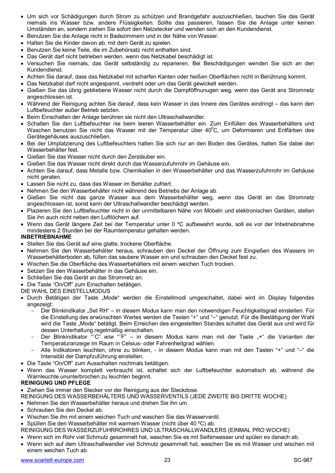- · Um sich vor Schädigungen durch Strom zu schützen und Brandgefahr auszuschließen, tauchen Sie das Gerät niemals ins Wasser bzw. andere Flüssigkeiten. Sollte das passieren, fassen Sie die Anlage unter keinen Umständen an, sondern ziehen Sie sofort den Netzstecker und wenden sich an den Kundendienst.
- · Benutzen Sie die Anlage nicht in Badezimmern und in der Nähe von Wasser.
- · Halten Sie die Kinder davon ab, mit dem Gerät zu spielen.
- · Benutzen Sie keine Teile, die im Zubehörsatz nicht enthalten sind.
- Das Gerät darf nicht betrieben werden, wenn das Netzkabel beschädigt ist.
- · Versuchen Sie niemals, das Gerät selbständig zu reparieren. Bei Beschädigungen wenden Sie sich an den Kundendienst.
- · Achten Sie darauf, dass das Netzkabel mit scharfen Kanten oder heißen Oberflächen nicht in Berührung kommt.
- · Das Netzkabel darf nicht angespannt, verdreht oder um das Gerät gewickelt werden.
- · Gießen Sie das übrig gebliebene Wasser nicht durch die Dampföffnunugen weg, wenn das Gerät ans Stromnetz angeschlossen ist.
- Während der Reinigung achten Sie darauf, dass kein Wasser in das Innere des Gerätes eindringt das kann den Luftbefeuchter außer Betrieb setzten.
- · Beim Einschalten der Anlage berühren sie nicht den Ultraschallwandler.
- Schalten Sie den Luftbefeuchter nie beim leeren Wasserbehälter ein. Zum Einfüllen des Wasserbehälters und Waschen benutzen Sie nicht das Wasser mit der Temperatur über 40°C, um Deformieren und Entfärben des Gerätegehäuses auszuschließen.
- Bei der Umplatzierung des Luftbefeuchters halten Sie sich nur an den Boden des Gerätes, halten Sie dabei den Wasserbehälter fest.
- · Gießen Sie das Wasser nicht durch den Zerstäuber ein.
- · Gießen Sie das Wasser nicht direkt durch das Wasserzufuhrrohr im Gehäuse ein.
- · Achten Sie darauf, dass Metalle bzw. Chemikalien in den Wasserbehälter und das Wasserzufuhrrohr im Gehäuse nicht geraten.
- Lassen Sie nicht zu, dass das Wasser im Behälter zufriert.
- · Nehmen Sie den Wasserbehälter nicht während des Betriebs der Anlage ab.
- Gießen Sie nicht das ganze Wasser aus dem Wasserbehälter weg, wenn das Gerät an das Stromnetz angeschlossen ist, sonst kann der Ultraschallwandler beschädigt werden.
- Plazieren Sie den Luftbefeuchter nicht in der unmittelbaren Nähe von Möbeln und elektronischen Geräten, stellen Sie ihn auch nicht neben den Luftlöchern auf.
- · Wenn das Gerät längere Zeit bei der Temperatur unter 0 ºC aufbewahrt wurde, soll es vor der Inbetriebnahme mindestens 2 Stunden bei der Raumtemperatur gehalten werden.

#### **INBETRIEBNAHME**

- · Stellen Sie das Gerät auf eine glatte, trockene Oberfläche.
- · Nehmen Sie den Wasserbehälter heraus, schrauben den Deckel der Öffnung zum Eingießen des Wassers im Wasserbehälterboden ab, füllen das saubere Wasser ein und schrauben den Deckel fest zu.
- · Wischen Sie die Oberfläche des Wasserbehälters mit einem weichen Tuch trocken.
- · Setzen Sie den Wasserbehälter in das Gehäuse ein.
- · Schließen Sie das Gerät an das Stromnetz an.
- Die Taste "On/Off" zum Einschalten betätigen.

#### DIE WAHL DES EINSTELLMODUS

- Durch Betätigen der Taste "Mode" werden die Einstellmodi umgeschaltet, dabei wird im Display folgendes angezeigt:
	- Der Blinkindikator "Set RH" in diesem Modus kann man den notwendigen Feuchtigkeitsgrad einstellen. Für die Einstellung des erwünschten Wertes werden die Tasten "+" und "-" genutzt. Für die Bestätigung der Wahl wird die Taste "Mode" betätigt. Beim Erreichen des eingestellten Standes schaltet das Gerät aus und wird für dessen Unterhaltung regelmäßig einschalten.
	- Der Blinkindikator "°С" или "°F" in diesem Modus kann man mit der Taste "+" die Varianten der Temperaturanzeige im Raum in Celsius- oder Fahrenheitgrad wählen.
	- Alle Indikatoren leuchten, ohne zu blinken, in diesem Modus kann man mit den Tasten "+" und "-" die Intensität der Dampfzuführung einstellen.
- Die Taste "On/Off" zum Ausschalten nochmals betätigen.
- · Wenn das Wasser komplett verbraucht ist, schaltet sich der Luftbefeuchter automatisch ab, während die Warnleuchte ununterbrochen zu leuchten beginnt.

#### **REINIGUNG UND PFLEGE**

Ziehen Sie immer den Stecker vor der Reinigung aus der Steckdose.

REINIGUNG DES WASSERBEHÄLTERS UND WASSERVENTILS (JEDE ZWEITE BIS DRITTE WOCHE)

- · Nehmen Sie den Wasserbehälter heraus und drehen Sie ihn um.
- Schrauben Sie den Deckel ab.
- · Wischen Sie ihn mit einem weichen Tuch und waschen Sie das Wasserventil.
- · Spüllen Sie den Wasserbehälter mit warmem Wasser (nicht über 40 ºC) ab.
- REINIGUNG DES WASSERZUFUHRROHRES UND ULTRASCHALLWANDLERS (EINMAL PRO WOCHE)
- · Wenn sich im Rohr viel Schmutz gesammelt hat, waschen Sie es mit Seifenwasser und spülen es danach ab.
- · Wenn sich auf dem Ultraschallwandler viel Schmutz gesammelt hat, waschen Sie es mit Wasser und wischen mit einem weichen Tuch ab.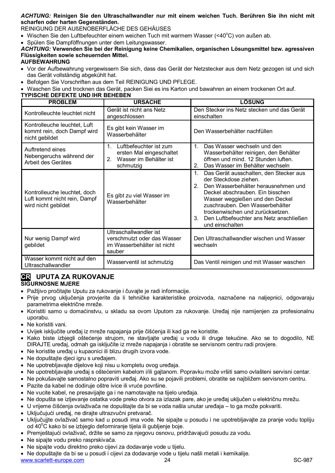#### *ACHTUNG:* **Reinigen Sie den Ultraschallwandler nur mit einem weichen Tuch. Berühren Sie ihn nicht mit scharfen oder harten Gegenständen.**

REINIGUNG DER AUßENOBERFLÄCHE DES GEHÄUSES

- Wischen Sie den Luftbefeuchter einem weichen Tuch mit warmem Wasser  $($ <40 $\degree$ C) von außen ab.
- · Spülen Sie Dampföffnungen unter dem Leitungswasser.

*ACHTUNG:* **Verwenden Sie bei der Reinigung keine Chemikalien, organischen Lösungsmittel bzw. agressiven Flüssigkeiten sowie scheuernden Mittel.**

#### **AUFBEWAHRUNG**

- · Vor der Aufbewahrung vergewissern Sie sich, dass das Gerät der Netzstecker aus dem Netz gezogen ist und sich das Gerät vollständig abgekühlt hat.
- · Befolgen Sie Vorschriften aus dem Teil REINIGUNG UND PFLEGE.
- · Waschen Sie und trocknen das Gerät, packen Siei es ins Karton und bawahren an einem trockenen Ort auf.

#### **TYPISCHE DEFEKTE UND IHR BEHEBEN**

| <b>PROBLEM</b>                                                                      | <b>URSACHE</b>                                                                                                    | LÖSUNG                                                                                                                                                                                                                                                                                                                                               |
|-------------------------------------------------------------------------------------|-------------------------------------------------------------------------------------------------------------------|------------------------------------------------------------------------------------------------------------------------------------------------------------------------------------------------------------------------------------------------------------------------------------------------------------------------------------------------------|
| Kontrolleuchte leuchtet nicht                                                       | Gerät ist nicht ans Netz<br>angeschlossen                                                                         | Den Stecker ins Netz stecken und das Gerät<br>einschalten                                                                                                                                                                                                                                                                                            |
| Kontrolleuche leuchtet, Luft<br>kommt rein, doch Dampf wird<br>nicht gebildet       | Es gibt kein Wasser im<br>Wasserbehälter                                                                          | Den Wasserbehälter nachfüllen                                                                                                                                                                                                                                                                                                                        |
| Auftretend eines<br>Nebengeruchs während der<br>Arbeit des Gerätes                  | Luftbefeuchter ist zum<br>1.<br>ersten Mal eingeschaltet<br>Wasser im Behälter ist<br>2 <sub>1</sub><br>schmutzig | $\mathbf{1}$<br>Das Wasser wechseln und den<br>Wasserbehälter reinigen, den Behälter<br>öffnen und mind. 12 Stunden luften.<br>$\mathcal{P}$<br>Das Wasser im Behälter wechseln                                                                                                                                                                      |
| Kontrolleuche leuchtet, doch<br>Luft kommt nicht rein, Dampf<br>wird nicht gebildet | Es gibt zu viel Wasser im<br>Wasserbehälter                                                                       | $\mathbf 1$ .<br>Das Gerät ausschalten, den Stecker aus<br>der Steckdose ziehen.<br>2.<br>Den Wasserbehälter herausnehmen und<br>Deckel abschrauben. Ein bisschen<br>Wasser weggießen und den Deckel<br>zuschrauben. Den Wasserbehälter<br>trockenwischen und zurücksetzen.<br>$3_{-}$<br>Den Luftbefeuchter ans Netz anschließen<br>und einschalten |
| Nur wenig Dampf wird<br>gebildet                                                    | Ultraschallwandler ist<br>verschmutzt oder das Wasser<br>im Wasserbehälter ist nicht<br>sauber                    | Den Ultraschallwandler wischen und Wasser<br>wechseln                                                                                                                                                                                                                                                                                                |
| Wasser kommt nicht auf den<br>Ultraschallwandler                                    | Wasserventil ist schmutzig                                                                                        | Das Ventil reinigen und mit Wasser waschen                                                                                                                                                                                                                                                                                                           |

## **CR UPUTA ZA RUKOVANJE**

#### **SIGURNOSNE MJERE**

- Pažljivo pročitajte Uputu za rukovanje i čuvajte je radi informacije.
- · Prije prvog uključenja provjerite da li tehničke karakteristike proizvoda, naznačene na naljepnici, odgovaraju parametrima električne mreže.
- Koristiti samo u domaćinstvu, u skladu sa ovom Uputom za rukovanje. Uređaj nije namijenjen za profesionalnu uporabu.
- · Ne koristiti vani.
- Uvijek isključite uređaj iz mreže napajanja prije čišćenja ili kad ga ne koristite.
- Kako biste izbjegli oštećenje strujom, ne stavljajte uređaj u vodu ili druge tekućine. Ako se to dogodilo, NE DIRAJTE uređaj, odmah ga isključite iz mreže napajanja i obratite se servisnom centru radi provjere.
- Ne koristite uređaj u kupaonici ili blizu drugih izvora vode.
- Ne dopuštajte djeci igru s uređajem.
- Ne upotrebljavajte dijelove koji nisu u kompletu ovog uređaja.
- Ne upotrebljavajte uređaj s oštećenim kabelom i/ili gajtanom. Popravku može vršiti samo ovlašteni servisni centar.
- Ne pokušavajte samostalno popraviti uređaj. Ako su se pojavili problemi, obratite se najbližem servisnom centru.
- · Pazite da kabel ne dodiruje oštre ivice ili vruće površine.
- Ne vucite kabel, ne presavijajte ga i ne namotavajte na tijelo uređaja.
- Ne dopušta se izljevanje ostatka vode preko otvora za izlazak pare, ako je uređaj uključen u električnu mrežu.
- U vrijeme čišćenja ovlaživača ne dopuštajte da bi se voda našla unutar uređaja to ga može pokvariti.
- Uključujući uređaj, ne dirajte ultrazvučni pretvarač.
- · Uključujite ovlaživač samo kad u posudi ima vode. Ne sipajte u posudu i ne upotrebljavajte za pranje vodu topliju od 40<sup>°</sup>C kako bi se izbjeglo deformiranje tijela ili gubljenje boje.
- Premještajući ovlaživač, držite se samo za njegovu osnovu, pridržavajući posudu za vodu.
- Ne sipaite vodu preko rasprskivača.
- · Ne sipajte vodu direktno preko cijevi za dodavanje vode u tijelu.
- · Ne dopuãtajte da bi se u posudi i cijevi za dodavanje vode u tijelu naãli metali i kemikalije.

www.scarlett-europe.com 24 SC-987